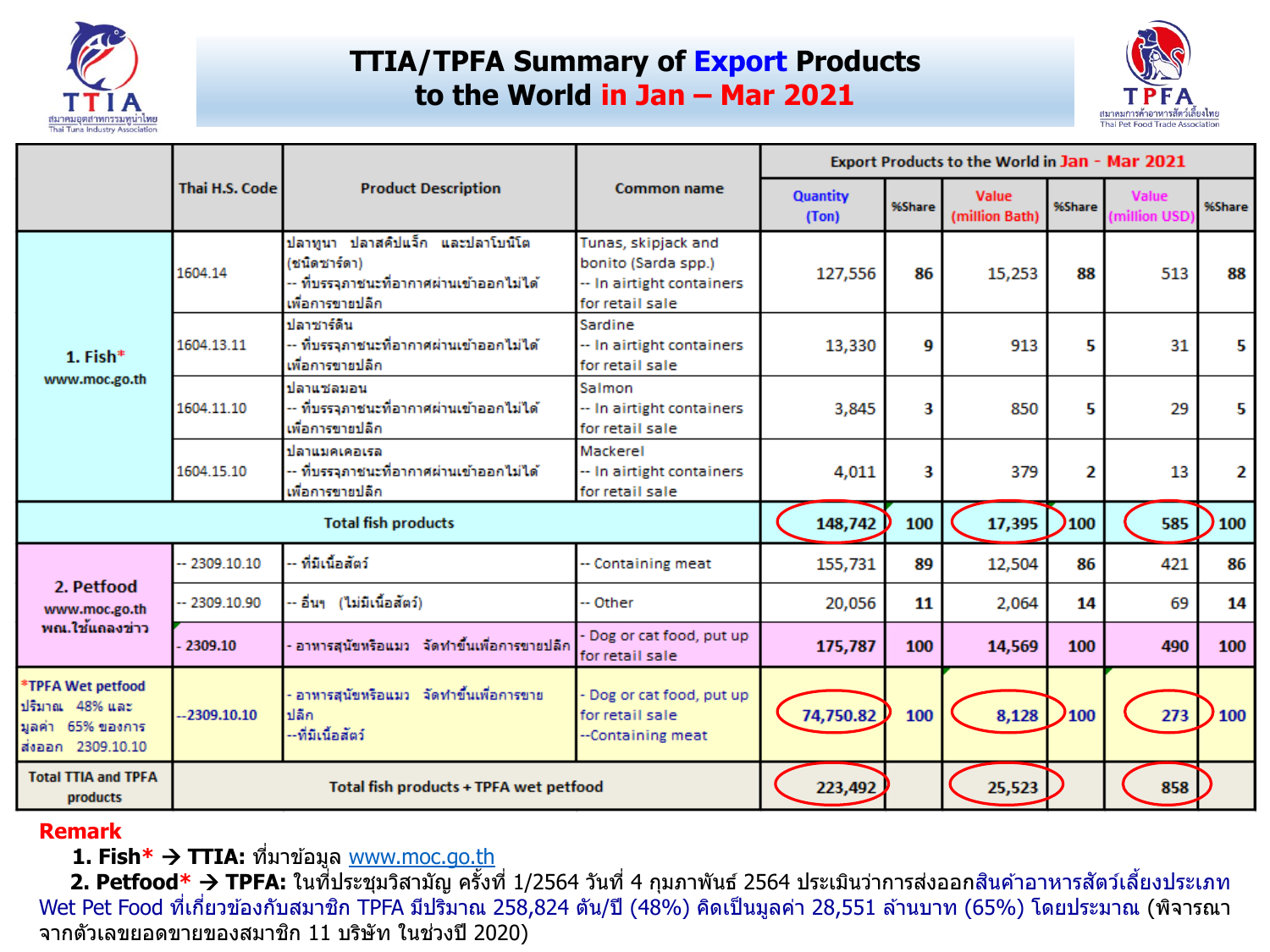

### **TTIA/TPFA Summary of Export Products to the World in Jan – Mar 2021**



|                                                                                  |                 |                                                                                                                 |                                                                                            |                          |        | Export Products to the World in Jan - Mar 2021 |        |                             |        |
|----------------------------------------------------------------------------------|-----------------|-----------------------------------------------------------------------------------------------------------------|--------------------------------------------------------------------------------------------|--------------------------|--------|------------------------------------------------|--------|-----------------------------|--------|
|                                                                                  | Thai H.S. Code  | <b>Product Description</b>                                                                                      | Common name                                                                                | <b>Quantity</b><br>(Ton) | %Share | Value<br>(million Bath)                        | %Share | <b>Value</b><br>million USD | %Share |
|                                                                                  | 1604.14         | ปลาทูนา ปลาสคิปแจ็ก และปลาโบนิโต<br>(ชนิดชาร์ตา)<br>- ที่บรรจุภาชนะที่อากาศผ่านเข้าออกไม่ได้<br>เพื่อการขายปลีก | Tunas, skipjack and<br>bonito (Sarda spp.)<br>-- In airtight containers<br>for retail sale | 127,556                  | 86     | 15,253                                         | 88     | 513                         | 88     |
| 1. Fish $*$                                                                      | 1604.13.11      | ปลาชาร์ดีน<br>- ที่บรรจุภาชนะที่อากาศผ่านเข้าออกไม่ได้<br>เพื่อการขายปลีก                                       | Sardine<br>-- In airtight containers<br>for retail sale                                    | 13,330                   | g      | 913                                            | 5.     | 31                          | 5.     |
| www.moc.go.th                                                                    | 1604.11.10      | ปลาแชลมอน<br>-- ที่บรรจุภาชนะที่อากาศผ่านเข้าออกไม่ได้<br>เพื่อการขายปลีก                                       | Salmon<br>-- In airtight containers<br>for retail sale                                     | 3,845                    | 3      | 850                                            | 5      | 29                          | 5.     |
|                                                                                  | 1604.15.10      | ปลาแบคเคอเรล<br>-- ที่บรรจุภาชนะที่อากาศผ่านเข้าออกไม่ได้<br>เพื่อการขายปลีก                                    | Mackerel<br>-- In airtight containers<br>for retail sale                                   | 4,011                    | 3      | 379                                            | 2      | 13                          | 2      |
|                                                                                  |                 | <b>Total fish products</b>                                                                                      |                                                                                            | 148,742                  | 100    | 17,395                                         | 100    | 585                         | 100    |
|                                                                                  | $-2309.10.10$   | - ที่มีเนื้อสัตว์                                                                                               | -- Containing meat                                                                         | 155,731                  | 89     | 12,504                                         | 86     | 421                         | 86     |
| 2. Petfood<br>www.moc.go.th                                                      | $-2309.10.90$   | - อื่นๆ (ไม่มีเนื้อสัตว์)                                                                                       | -- Other                                                                                   | 20,056                   | 11     | 2,064                                          | 14     | 69                          | 14     |
| พณ.ใช้แถลงข่าว                                                                   | 2309.10         | อาทารสุนัขหรือแมว จัดทำขึ้นเพื่อการขายปลีก                                                                      | Dog or cat food, put up<br>for retail sale                                                 | 175,787                  | 100    | 14,569                                         | 100    | 490                         | 100    |
| *TPFA Wet petfood<br>ปริมาณ 48% และ<br>็มลดำ 65% ของการ<br>ส่งออก 2309.10.10     | $-2309, 10, 10$ | อาทารสุนัขหรือแมว จัดทำขึ้นเพื่อการขาย<br>ปลีก<br>--ที่มีเนื้อสัตว์                                             | Dog or cat food, put up<br>for retail sale<br>--Containing meat                            | 74,750.82                | 100    | 8,128                                          | 2100   | 273                         | 100    |
| <b>Total TTIA and TPFA</b><br>Total fish products + TPFA wet petfood<br>products |                 |                                                                                                                 |                                                                                            | 223,492                  |        | 25,523                                         |        | 858                         |        |

#### **Remark**

**1. Fish\* → TTIA:** ที่มาข้อมูล <u>[www.moc.go.th](http://www.moc.go.th/)</u>

**2. Petfood\* → TPFA:** ในที่ประชุมวิสามัญ ครั้งที่ 1/2564 วันที่ 4 กุมภาพันธ์ 2564 ประเมินว่าการส่งออกสินค้าอาหารสัตว์เลี้ยงประเภท Wet Pet Food ที่เกี่ยวข้องกับสมาชิก TPFA มีปริมาณ 258,824 ตัน/ปี (48%) คิดเป็นมูลค่า 28,551 ล้านบาท (65%) โดยประมาณ (พิจารณา จากตัวเลขยอดขายของสมาชิก 11 บริษัท ในช่วงปี 2020)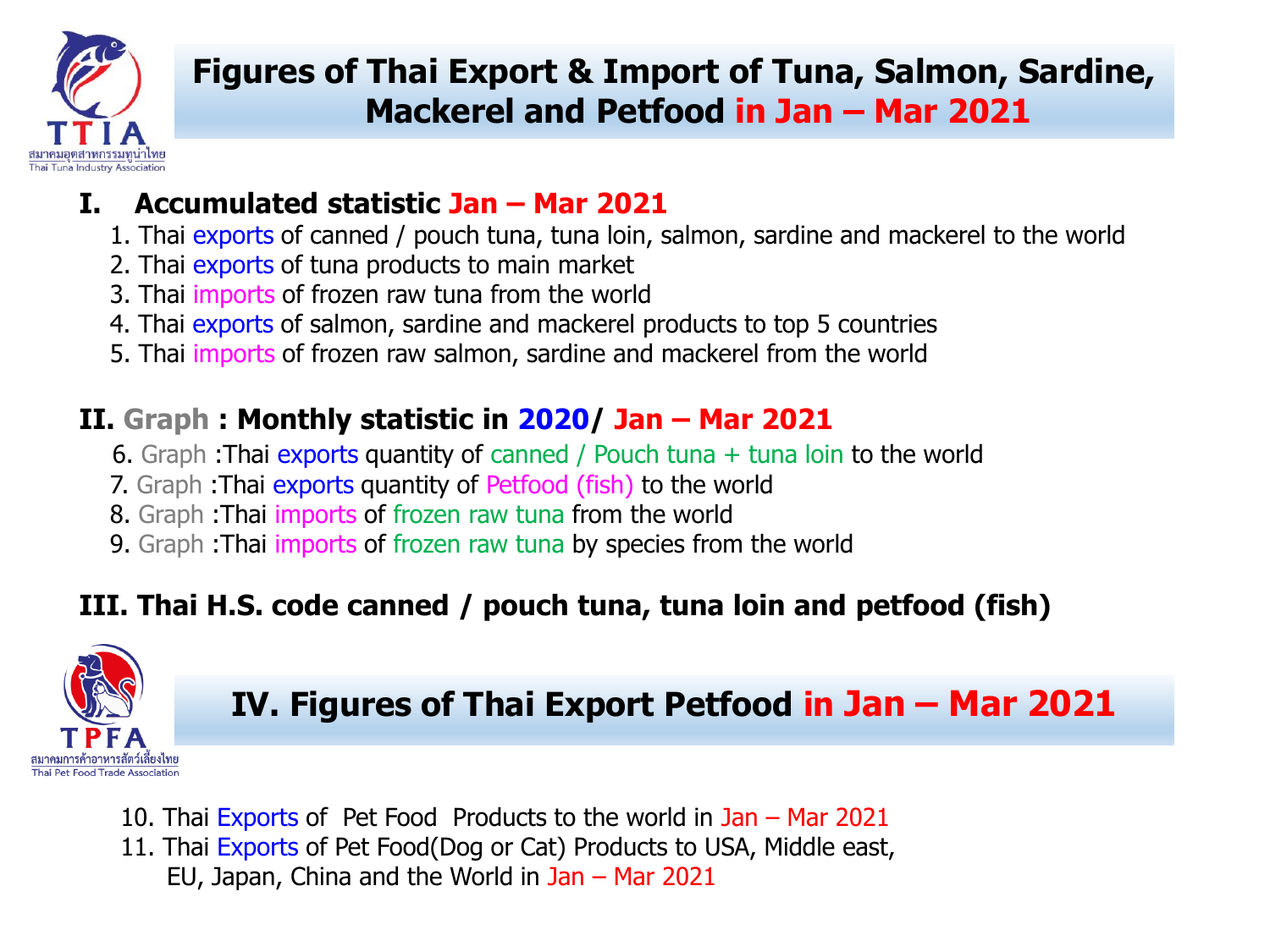

# **Figures of Thai Export & Import of Tuna, Salmon, Sardine, Mackerel and Petfood in Jan – Mar 2021**

### **I. Accumulated statistic Jan – Mar 2021**

- 1. Thai exports of canned / pouch tuna, tuna loin, salmon, sardine and mackerel to the world
- 2. Thai exports of tuna products to main market
- 3. Thai imports of frozen raw tuna from the world
- 4. Thai exports of salmon, sardine and mackerel products to top 5 countries
- 5. Thai imports of frozen raw salmon, sardine and mackerel from the world

### **II. Graph : Monthly statistic in 2020/ Jan – Mar 2021**

- 6. Graph :Thai exports quantity of canned / Pouch tuna + tuna loin to the world
- 7. Graph : Thai exports quantity of Petfood (fish) to the world
- 8. Graph :Thai imports of frozen raw tuna from the world
- 9. Graph :Thai imports of frozen raw tuna by species from the world

## **III. Thai H.S. code canned / pouch tuna, tuna loin and petfood (fish)**



**IV. Figures of Thai Export Petfood in Jan – Mar 2021**

10. Thai Exports of Pet Food Products to the world in Jan – Mar 2021 11. Thai Exports of Pet Food(Dog or Cat) Products to USA, Middle east, EU, Japan, China and the World in Jan – Mar 2021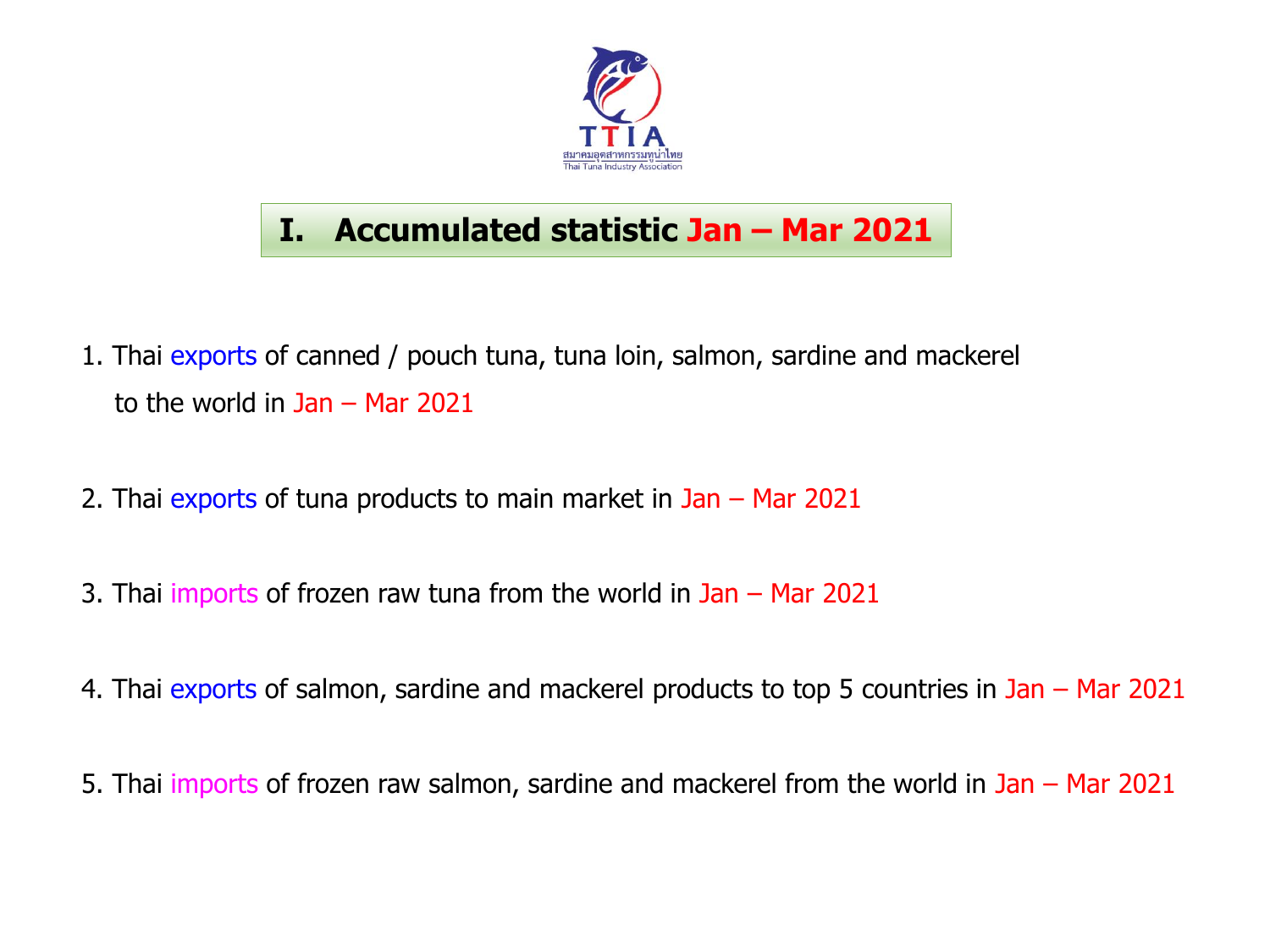

# **I. Accumulated statistic Jan – Mar 2021**

- 1. Thai exports of canned / pouch tuna, tuna loin, salmon, sardine and mackerel to the world in Jan – Mar 2021
- 2. Thai exports of tuna products to main market in Jan Mar 2021
- 3. Thai imports of frozen raw tuna from the world in Jan Mar 2021
- 4. Thai exports of salmon, sardine and mackerel products to top 5 countries in Jan Mar 2021
- 5. Thai imports of frozen raw salmon, sardine and mackerel from the world in Jan Mar 2021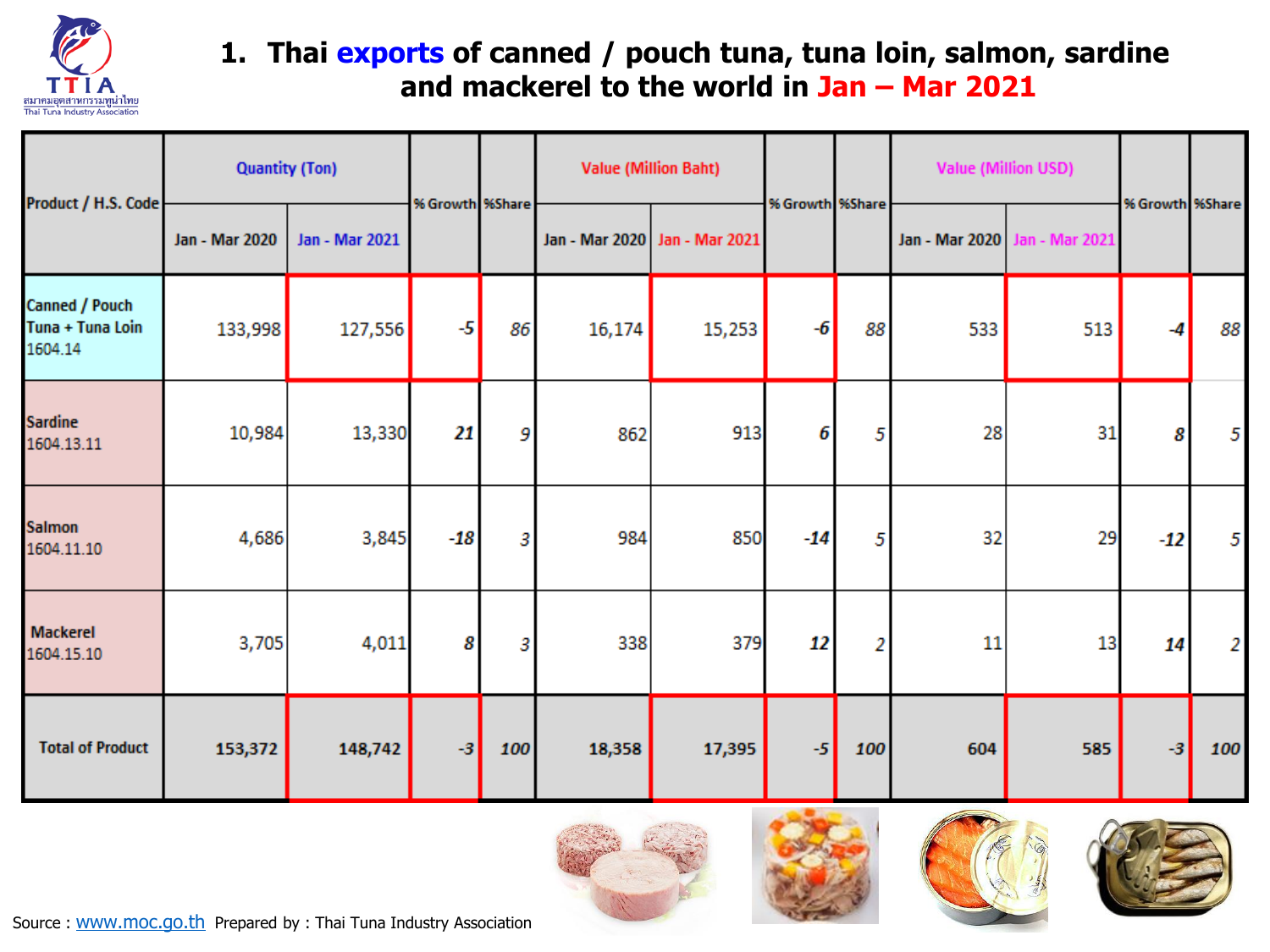

### **1. Thai exports of canned / pouch tuna, tuna loin, salmon, sardine and mackerel to the world in Jan – Mar 2021**

| Product / H.S. Code                           | <b>Quantity (Ton)</b> |                       | % Growth %Share |     | <b>Value (Million Baht)</b> |                | % Growth %Share |                | <b>Value (Million USD)</b> |                | % Growth %Share |     |
|-----------------------------------------------|-----------------------|-----------------------|-----------------|-----|-----------------------------|----------------|-----------------|----------------|----------------------------|----------------|-----------------|-----|
|                                               | Jan - Mar 2020        | <b>Jan - Mar 2021</b> |                 |     | Jan - Mar 2020              | Jan - Mar 2021 |                 |                | Jan - Mar 2020             | Jan - Mar 2021 |                 |     |
| Canned / Pouch<br>Tuna + Tuna Loin<br>1604.14 | 133,998               | 127,556               | $-5$            | 86  | 16,174                      | 15,253         | $-6$            | 88             | 533                        | 513            | -4              | 88  |
| <b>Sardine</b><br>1604.13.11                  | 10,984                | 13,330                | 21              | 9   | 862                         | 913            | 6               | 5              | 28                         | 31             | 8               | 5   |
| <b>Salmon</b><br>1604.11.10                   | 4,686                 | 3,845                 | $-18$           | 3   | 984                         | 850            | $-14$           | 5              | 32                         | 29             | $-12$           | 5   |
| Mackerel<br>1604.15.10                        | 3,705                 | 4,011                 | 8               | 3   | 338                         | 379            | 12              | $\overline{2}$ | 11                         | 13             | 14              | 2   |
| <b>Total of Product</b>                       | 153,372               | 148,742               | $-3$            | 100 | 18,358                      | 17,395         | $-5$            | 100            | 604                        | 585            | $-3$            | 100 |





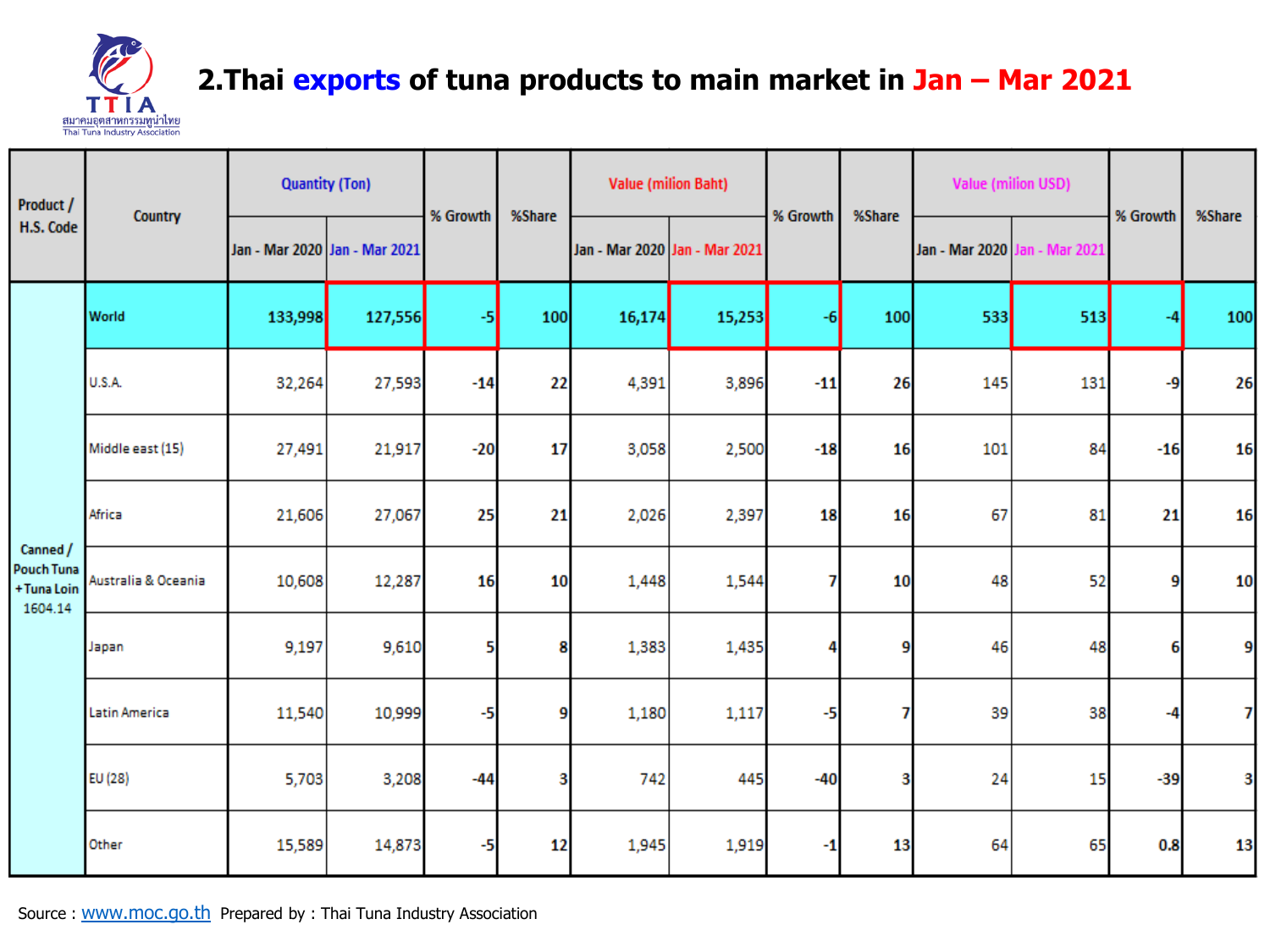

### 2. Thai exports of tuna products to main market in Jan - Mar 2021

| Product /                                               | Country             | <b>Quantity (Ton)</b>         |         | % Growth | %Share | <b>Value (milion Baht)</b>    |        | % Growth | %Share | <b>Value (milion USD)</b> |                | % Growth | %Share |
|---------------------------------------------------------|---------------------|-------------------------------|---------|----------|--------|-------------------------------|--------|----------|--------|---------------------------|----------------|----------|--------|
| H.S. Code                                               |                     | Jan - Mar 2020 Jan - Mar 2021 |         |          |        | Jan - Mar 2020 Jan - Mar 2021 |        |          |        | Jan - Mar 2020            | lan - Mar 2021 |          |        |
|                                                         | World               | 133,998                       | 127,556 | -5       | 100    | 16,174                        | 15,253 | -61      | 100    | 533                       | 513            |          | 100    |
|                                                         | <b>U.S.A.</b>       | 32,264                        | 27,593  | $-14$    | 22     | 4,391                         | 3,896  | $-11$    | 26     | 145                       | 131            | -9       | 26     |
|                                                         | Middle east (15)    | 27,491                        | 21,917  | $-20$    | 17     | 3,058                         | 2,500  | $-18$    | 16     | 101                       | 84             | $-16$    | 16     |
|                                                         | Africa              | 21,606                        | 27,067  | 25       | 21     | 2,026                         | 2,397  | 18       | 16     | 67                        | 81             | 21       | 16     |
| Canned /<br><b>Pouch Tuna</b><br>+ Tuna Loin<br>1604.14 | Australia & Oceania | 10,608                        | 12,287  | 16       | 10     | 1,448                         | 1,544  | 7        | 10     | 48                        | 52             | 9        | 10     |
|                                                         | Japan               | 9,197                         | 9,610   | 5        | 8      | 1,383                         | 1,435  | 4        | 9      | 46                        | 48             | 6        | 9      |
|                                                         | Latin America       | 11,540                        | 10,999  | -5       | 9      | 1,180                         | 1,117  | -5       | 7      | 39                        | 38             | -4       | 7      |
|                                                         | EU (28)             | 5,703                         | 3,208   | $-44$    | 3      | 742                           | 445    | $-40$    | 3      | 24                        | 15             | $-39$    | 3      |
|                                                         | Other               | 15,589                        | 14,873  | -5       | 12     | 1,945                         | 1,919  | -1       | 13     | 64                        | 65             | 0.8      | 13     |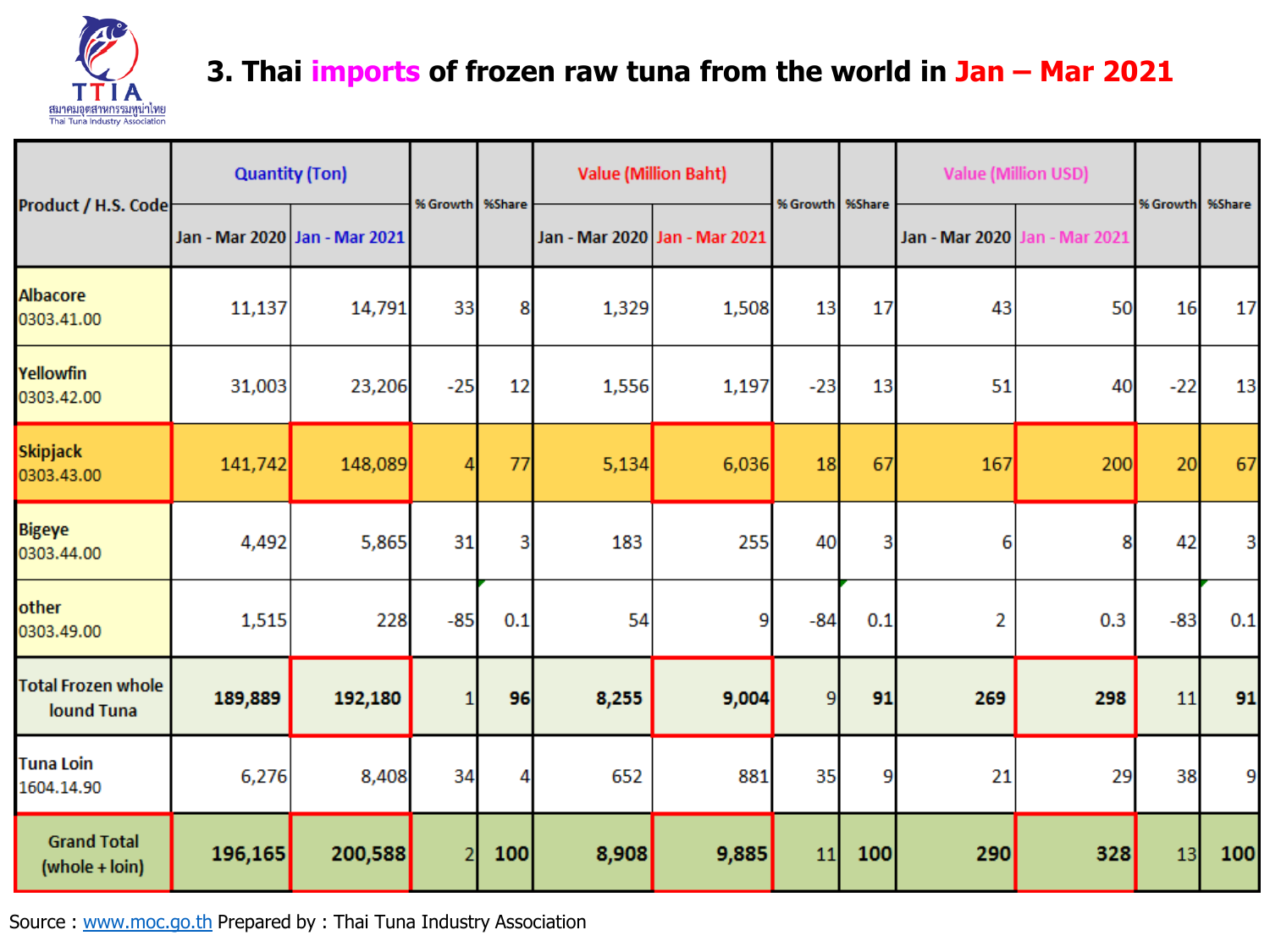

# **3. Thai imports of frozen raw tuna from the world in Jan – Mar 2021**

|                                         |         | <b>Quantity (Ton)</b>         | % Growth   %Share |     |       | <b>Value (Million Baht)</b>   |                 |     |     | <b>Value (Million USD)</b>    |          | %Share |
|-----------------------------------------|---------|-------------------------------|-------------------|-----|-------|-------------------------------|-----------------|-----|-----|-------------------------------|----------|--------|
| Product / H.S. Code                     |         | Jan - Mar 2020 Jan - Mar 2021 |                   |     |       | Jan - Mar 2020 Jan - Mar 2021 | % Growth %Share |     |     | Jan - Mar 2020 Jan - Mar 2021 | % Growth |        |
| <b>Albacore</b><br>0303.41.00           | 11,137  | 14,791                        | 33                | 8   | 1,329 | 1,508                         | 13              | 17  | 43  | 50                            | 16       | 17     |
| Yellowfin<br>0303.42.00                 | 31,003  | 23,206                        | $-25$             | 12  | 1,556 | 1,197                         | $-23$           | 13  | 51  | 40                            | $-22$    | 13     |
| Skipjack<br>0303.43.00                  | 141,742 | 148,089                       |                   | 77  | 5,134 | 6,036                         | 18              | 67  | 167 | 200                           | 20       | 67     |
| <b>Bigeye</b><br>0303.44.00             | 4,492   | 5,865                         | 31                | 3   | 183   | 255                           | 40              | 3   | 6   | 8                             | 42       | 3      |
| other<br>0303.49.00                     | 1,515   | 228                           | $-85$             | 0.1 | 54    | 9                             | $-84$           | 0.1 | 2   | 0.3                           | $-83$    | 0.1    |
| <b>Total Frozen whole</b><br>lound Tuna | 189,889 | 192,180                       |                   | 96  | 8,255 | 9,004                         | 9               | 91  | 269 | 298                           | 11       | 91     |
| <b>Tuna Loin</b><br>1604.14.90          | 6,276   | 8,408                         | 34                | 4   | 652   | 881                           | 35              | 9   | 21  | 29                            | 38       | 9      |
| <b>Grand Total</b><br>(whole + loin)    | 196,165 | 200,588                       |                   | 100 | 8,908 | 9,885                         | 11              | 100 | 290 | 328                           | 13       | 100    |

Source : [www.moc.go.th](http://www.moc.go.th/) Prepared by : Thai Tuna Industry Association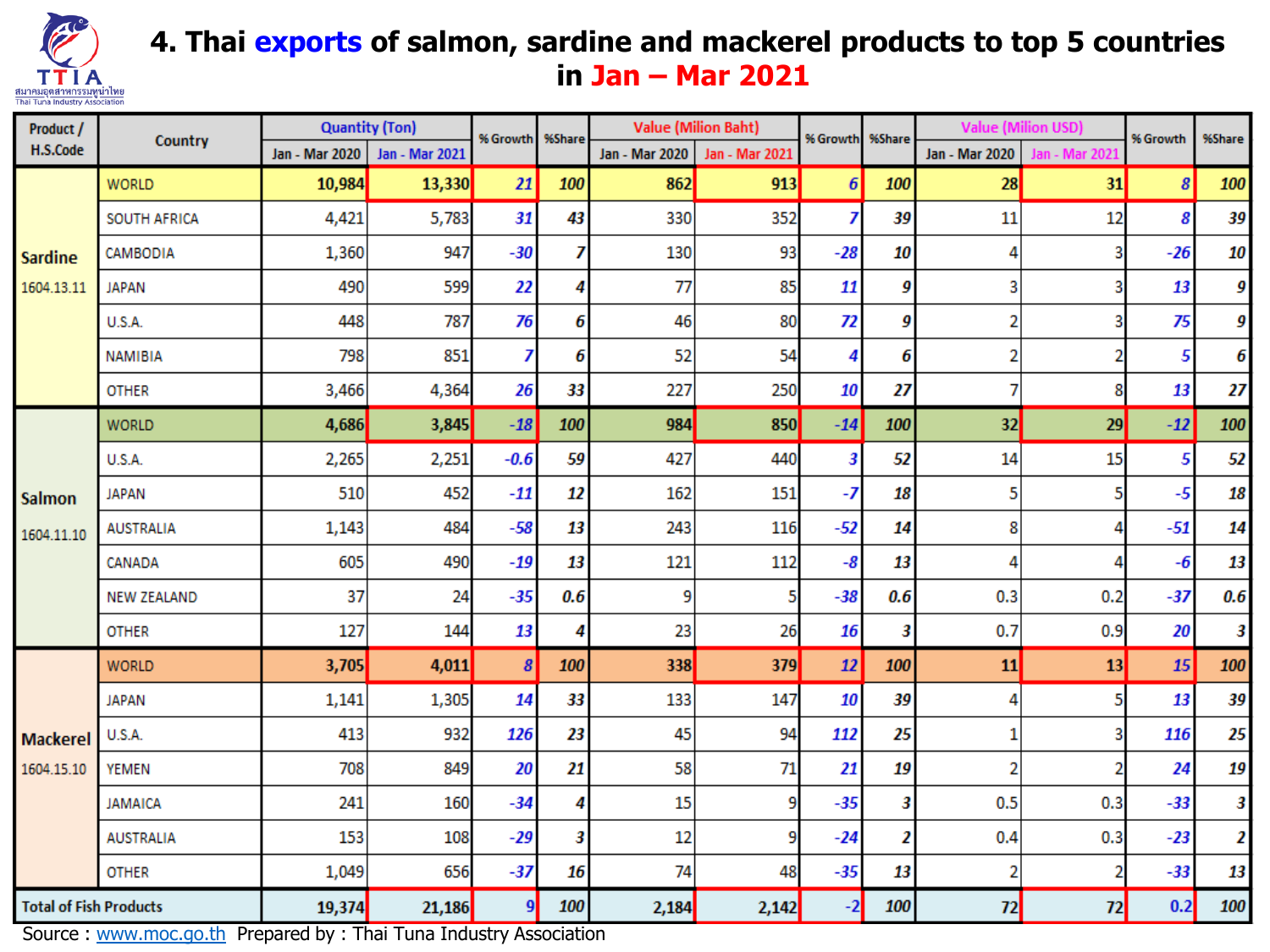

### **4. Thai exports of salmon, sardine and mackerel products to top 5 countries in Jan – Mar 2021**

| Product /                     | Country            | <b>Quantity (Ton)</b> |                | % Growth         | %Share |                       | <b>Value (Milion Baht)</b> | % Growth         | %Share | <b>Value (Milion USD)</b> |                      | % Growth | %Share |
|-------------------------------|--------------------|-----------------------|----------------|------------------|--------|-----------------------|----------------------------|------------------|--------|---------------------------|----------------------|----------|--------|
| H.S.Code                      |                    | Jan - Mar 2020        | Jan - Mar 2021 |                  |        | <b>Jan - Mar 2020</b> | Jan - Mar 2021             |                  |        | <b>Jan - Mar 2020</b>     | <b>Jan - Mar 202</b> |          |        |
|                               | <b>WORLD</b>       | 10,984                | 13,330         | 21               | 100    | 862                   | 913                        | $\boldsymbol{6}$ | 100    | 28                        | 31                   | 8        | 100    |
|                               | SOUTH AFRICA       | 4,421                 | 5,783          | 31               | 43     | 330                   | 352                        | 7                | 39     | 11                        | 12                   | 8        | 39     |
| <b>Sardine</b>                | CAMBODIA           | 1,360                 | 947            | $-30$            | 7      | 130                   | 93                         | $-28$            | 10     | 4                         | 3                    | $-26$    | 10     |
| 1604.13.11                    | <b>JAPAN</b>       | 490                   | 599            | 22               | 4      | 77                    | 85                         | 11               | 9      | 3                         | 3                    | 13       | 9      |
|                               | <b>U.S.A.</b>      | 448                   | 787            | 76               | 6      | 46                    | 80                         | 72               | 9      | $\overline{2}$            | з                    | 75       | 9      |
|                               | <b>NAMIBIA</b>     | 798                   | 851            | 7                | 6      | 52                    | 54                         | 4                | 6      | 2                         | 2                    | 5        | 6      |
|                               | <b>OTHER</b>       | 3,466                 | 4,364          | 26               | 33     | 227                   | 250                        | 10               | 27     | 7                         | 8                    | 13       | 27     |
|                               | <b>WORLD</b>       | 4,686                 | 3,845          | $-18$            | 100    | 984                   | 850                        | $-14$            | 100    | 32                        | 29                   | $-12$    | 100    |
|                               | U.S.A.             | 2,265                 | 2,251          | $-0.6$           | 59     | 427                   | 440                        | 3                | 52     | 14                        | 15                   | 5        | 52     |
| <b>Salmon</b><br>1604.11.10   | <b>JAPAN</b>       | 510                   | 452            | $-11$            | 12     | 162                   | 151                        | $-7$             | 18     | 5                         | 5                    | $-5$     | 18     |
|                               | <b>AUSTRALIA</b>   | 1,143                 | 484            | $-58$            | 13     | 243                   | 116                        | $-52$            | 14     | 8                         | 4                    | $-51$    | 14     |
|                               | CANADA             | 605                   | 490            | $-19$            | 13     | 121                   | 112                        | $-8$             | 13     | 4                         | 4                    | -6       | 13     |
|                               | <b>NEW ZEALAND</b> | 37                    | 24             | $-35$            | 0.6    | 9                     |                            | $-38$            | 0.6    | 0.3                       | 0.2                  | $-37$    | 0.6    |
|                               | <b>OTHER</b>       | 127                   | 144            | 13               | 4      | 23                    | 26                         | 16               | 3      | 0.7                       | 0.9                  | 20       | 3      |
|                               | <b>WORLD</b>       | 3,705                 | 4,011          | $\boldsymbol{s}$ | 100    | 338                   | 379                        | 12               | 100    | 11                        | 13                   | 15       | 100    |
|                               | <b>JAPAN</b>       | 1,141                 | 1,305          | 14               | 33     | 133                   | 147                        | 10               | 39     | 4                         | 5                    | 13       | 39     |
| <b>Mackerel</b>               | U.S.A.             | 413                   | 932            | 126              | 23     | 45                    | 94                         | 112              | 25     | 1                         | 3                    | 116      | 25     |
| 1604.15.10                    | <b>YEMEN</b>       | 708                   | 849            | 20               | 21     | 58                    | 71                         | 21               | 19     | $\overline{2}$            | 2                    | 24       | 19     |
|                               | <b>JAMAICA</b>     | 241                   | 160            | $-34$            | 4      | 15                    |                            | $-35$            | 3      | 0.5                       | 0.3                  | $-33$    | 3      |
|                               | <b>AUSTRALIA</b>   | 153                   | 108            | $-29$            | 3      | 12                    | 9                          | $-24$            | 2      | 0.4                       | 0.3                  | $-23$    | 2      |
|                               | <b>OTHER</b>       | 1,049                 | 656            | $-37$            | 16     | 74                    | 48                         | $-35$            | 13     | $\overline{a}$            | 2                    | $-33$    | 13     |
| <b>Total of Fish Products</b> |                    | 19,374                | 21,186         | 9                | 100    | 2,184                 | 2,142                      | $-2$             | 100    | 72                        | 72                   | 0.2      | 100    |

Source : [www.moc.go.th](http://www.moc.go.th/) Prepared by : Thai Tuna Industry Association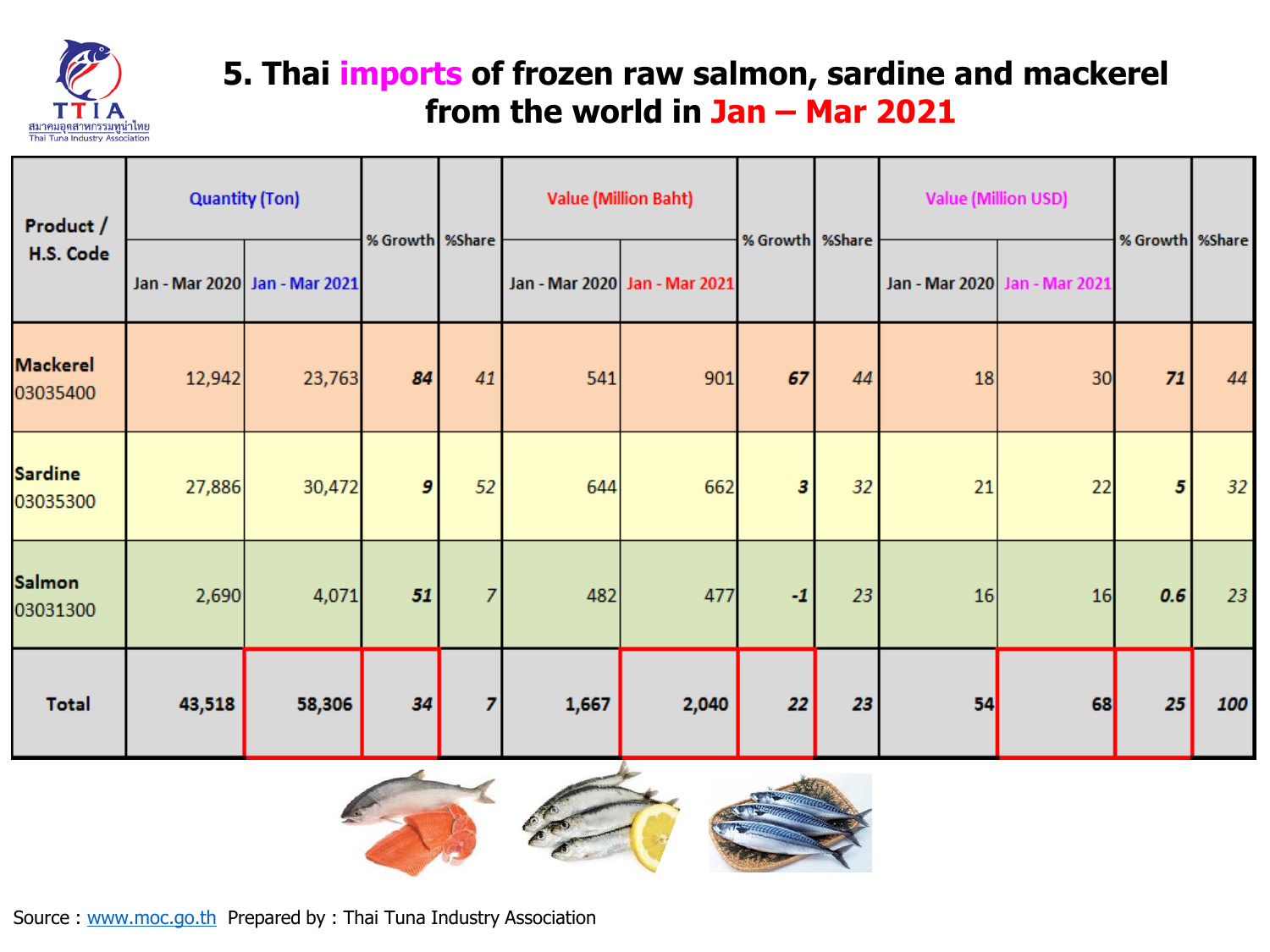

# **5. Thai imports of frozen raw salmon, sardine and mackerel from the world in Jan – Mar 2021**

| Product /<br>H.S. Code      | <b>Quantity (Ton)</b> |                               |                  |                | <b>Value (Million Baht)</b> |                               |                   |    | <b>Value (Million USD)</b> |                               |                 |     |
|-----------------------------|-----------------------|-------------------------------|------------------|----------------|-----------------------------|-------------------------------|-------------------|----|----------------------------|-------------------------------|-----------------|-----|
|                             |                       | Jan - Mar 2020 Jan - Mar 2021 | % Growth %Share  |                |                             | Jan - Mar 2020 Jan - Mar 2021 | % Growth   %Share |    |                            | Jan - Mar 2020 Jan - Mar 2021 | % Growth %Share |     |
| <b>Mackerel</b><br>03035400 | 12,942                | 23,763                        | 84               | 41             | 541                         | 901                           | 67                | 44 | 18                         | 30                            | 71              | 44  |
| <b>Sardine</b><br>03035300  | 27,886                | 30,472                        | $\boldsymbol{g}$ | 52             | 644                         | 662                           | 3                 | 32 | 21                         | 22                            | $5^{\circ}$     | 32  |
| <b>Salmon</b><br>03031300   | 2,690                 | 4,071                         | 51               | $\overline{7}$ | 482                         | 477                           | $-1$              | 23 | 16                         | 16                            | 0.6             | 23  |
| <b>Total</b>                | 43,518                | 58,306                        | 34               | 7              | 1,667                       | 2,040                         | 22                | 23 | 54                         | 68                            | 25              | 100 |



Source : [www.moc.go.th](http://www.moc.go.th/) Prepared by : Thai Tuna Industry Association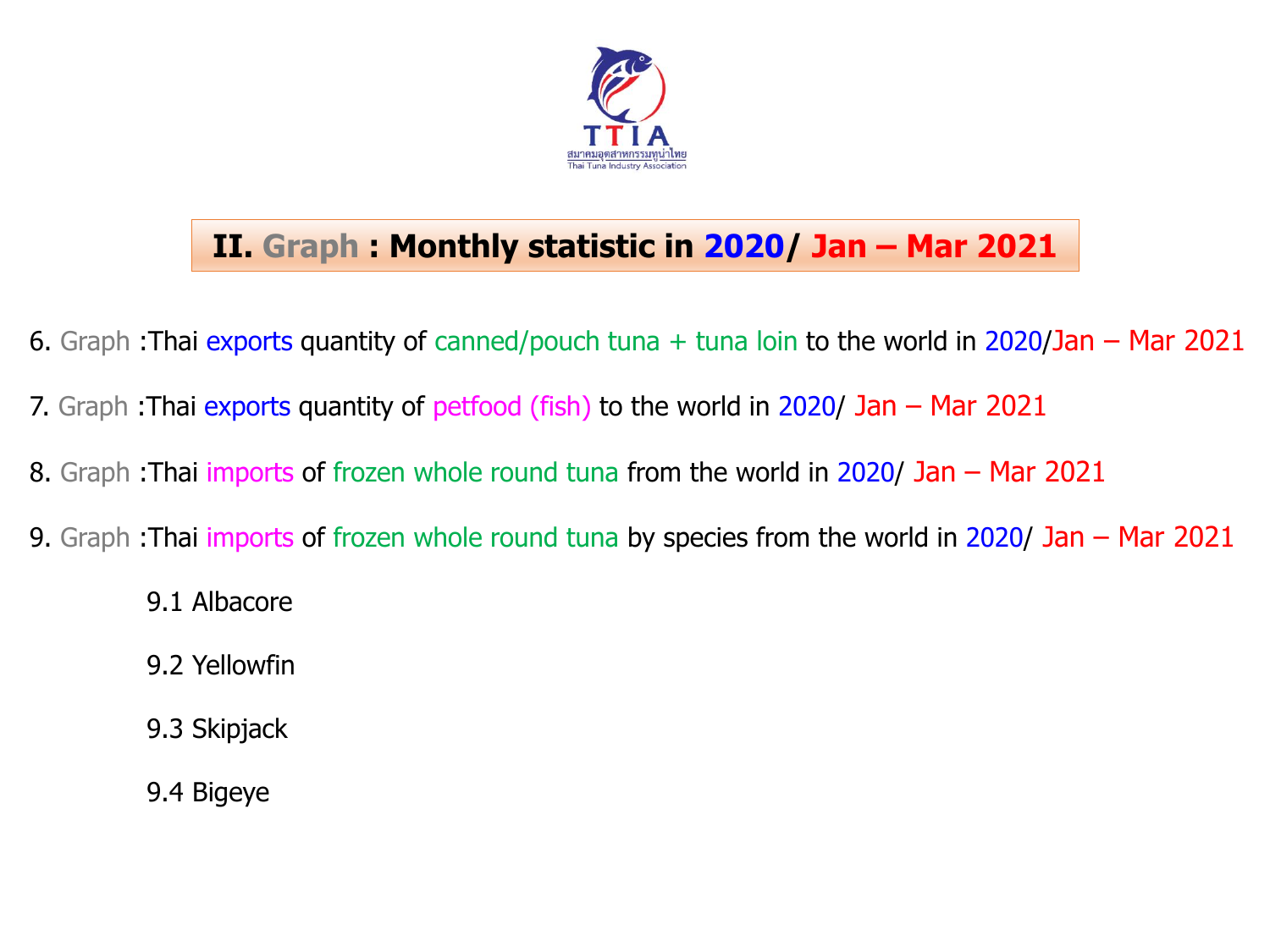

# **II. Graph : Monthly statistic in 2020/ Jan – Mar 2021**

- 6. Graph : Thai exports quantity of canned/pouch tuna  $+$  tuna loin to the world in 2020/Jan Mar 2021
- 7. Graph : Thai exports quantity of petfood (fish) to the world in 2020/ Jan Mar 2021
- 8. Graph :Thai imports of frozen whole round tuna from the world in 2020/ Jan Mar 2021
- 9. Graph :Thai imports of frozen whole round tuna by species from the world in 2020/ Jan Mar 2021
	- 9.1 Albacore
	- 9.2 Yellowfin
	- 9.3 Skipjack
	- 9.4 Bigeye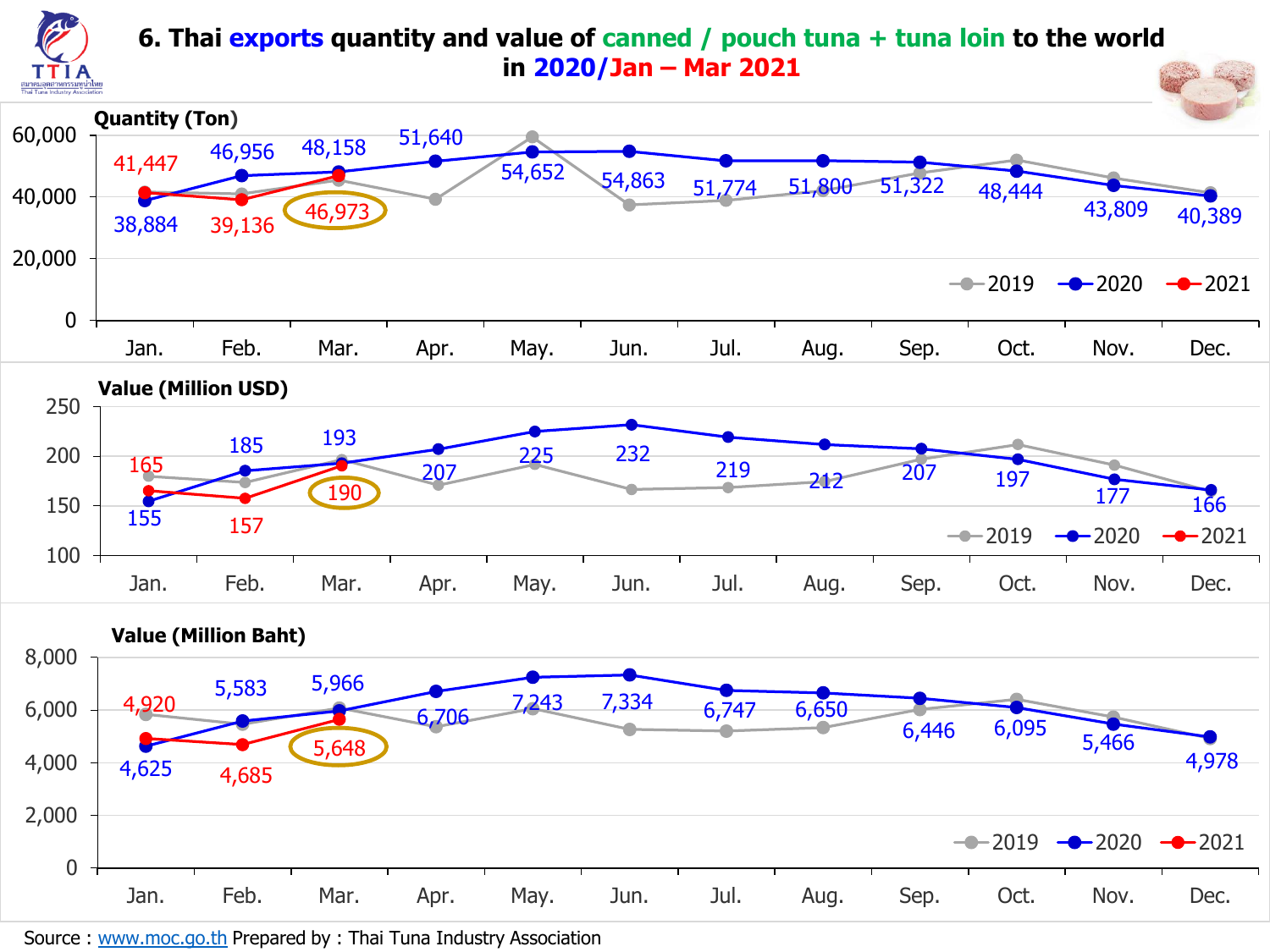

#### **6. Thai exports quantity and value of canned / pouch tuna + tuna loin to the world in 2020/Jan – Mar 2021**



Source : [www.moc.go.th](http://www.moc.go.th/) Prepared by : Thai Tuna Industry Association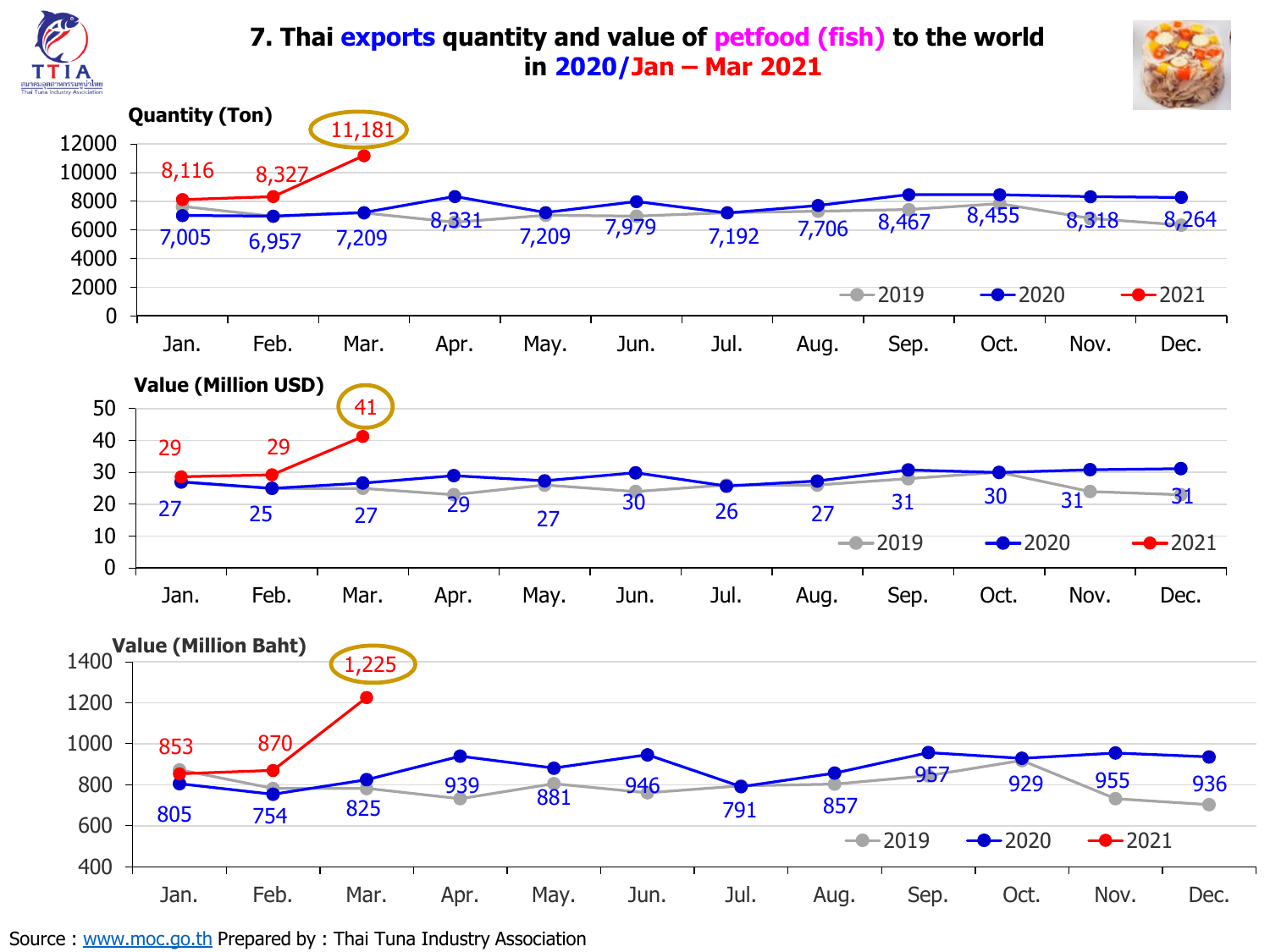

#### **7. Thai exports quantity and value of petfood (fish) to the world in 2020/Jan – Mar 2021**





Source : [www.moc.go.th](http://www.moc.go.th/) Prepared by : Thai Tuna Industry Association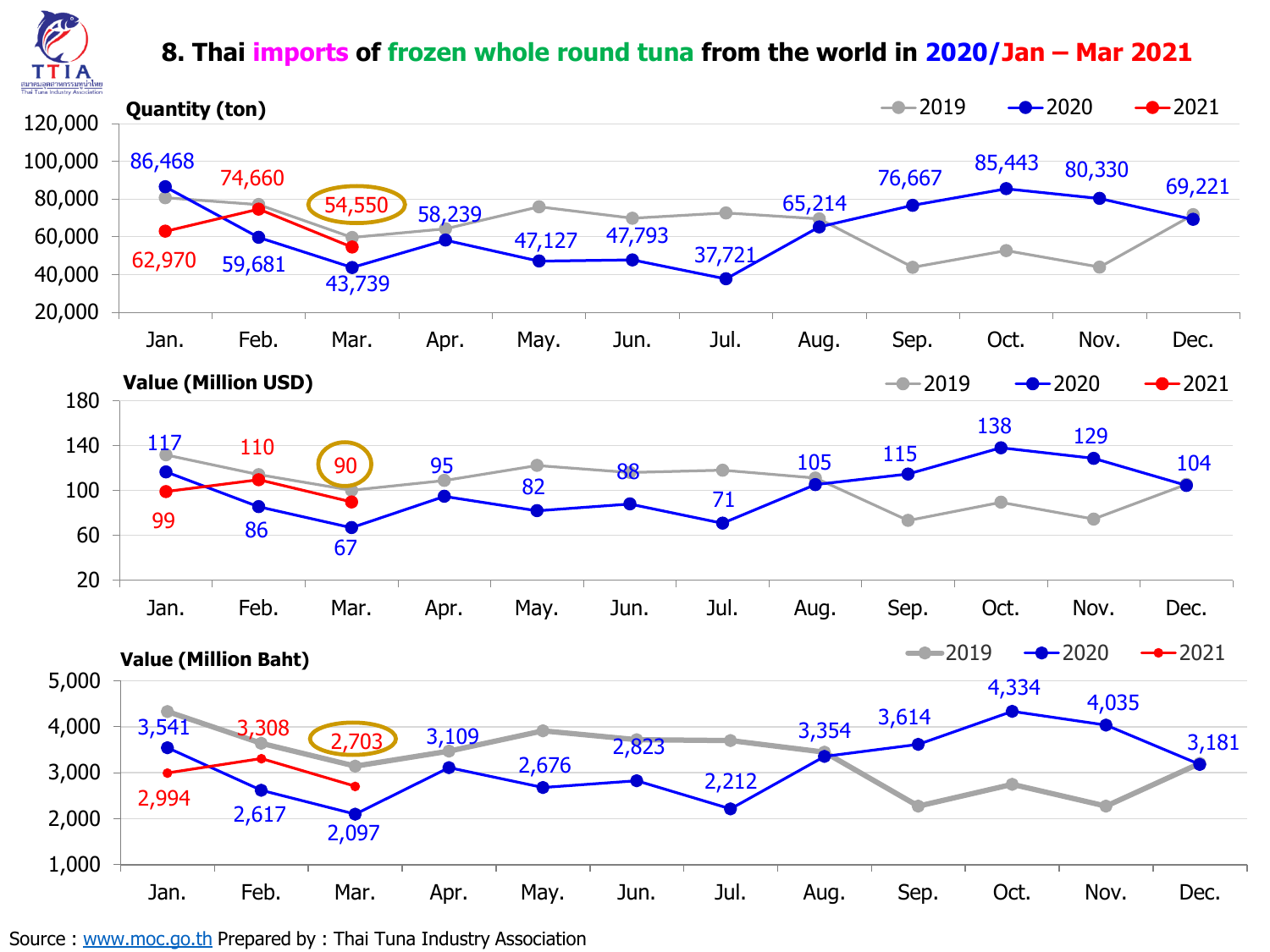

#### **8. Thai imports of frozen whole round tuna from the world in 2020/Jan – Mar 2021**



Source : [www.moc.go.th](http://www.moc.go.th/) Prepared by : Thai Tuna Industry Association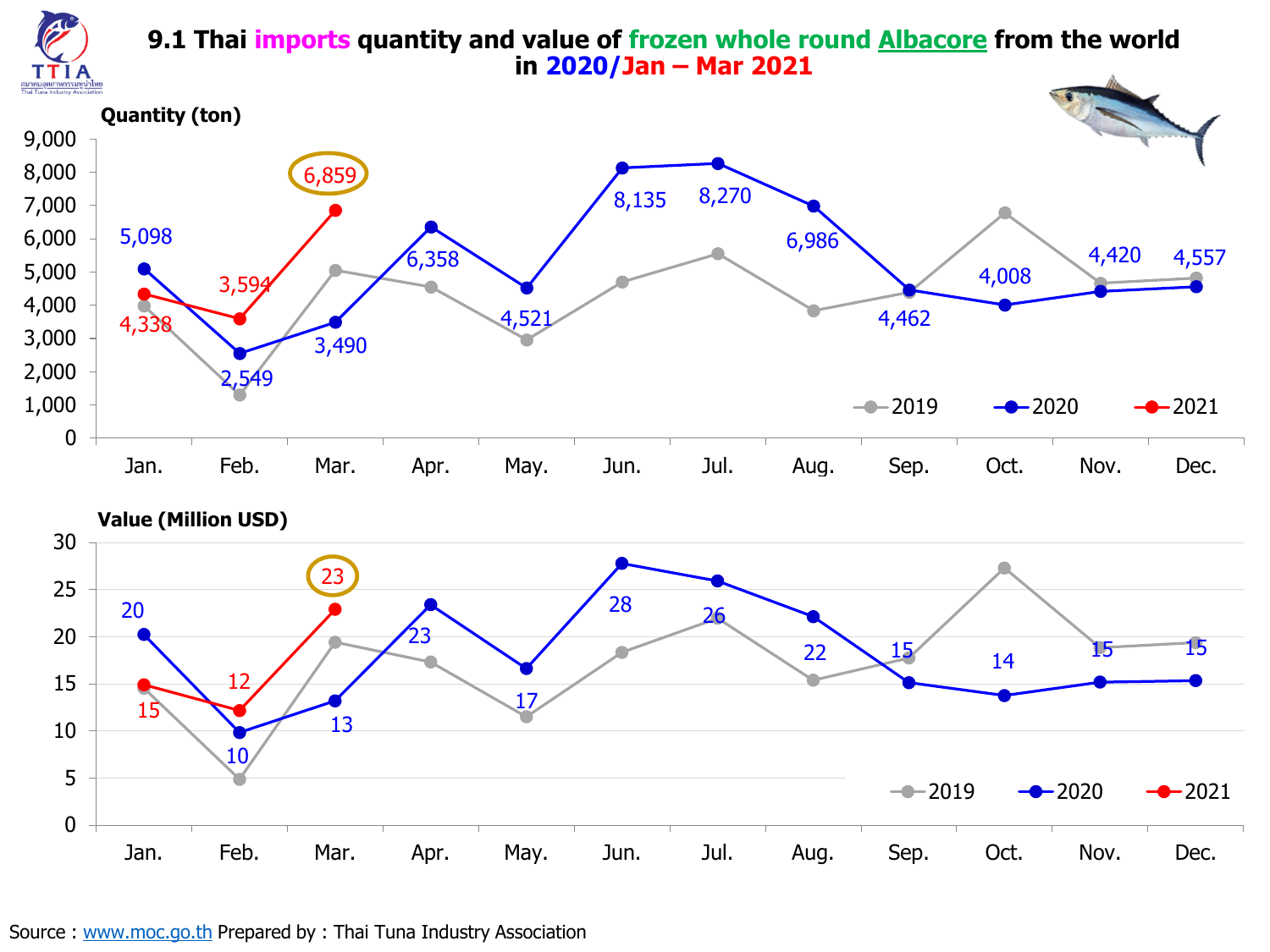

#### **9.1 Thai imports quantity and value of frozen whole round Albacore from the world in 2020/Jan – Mar 2021**

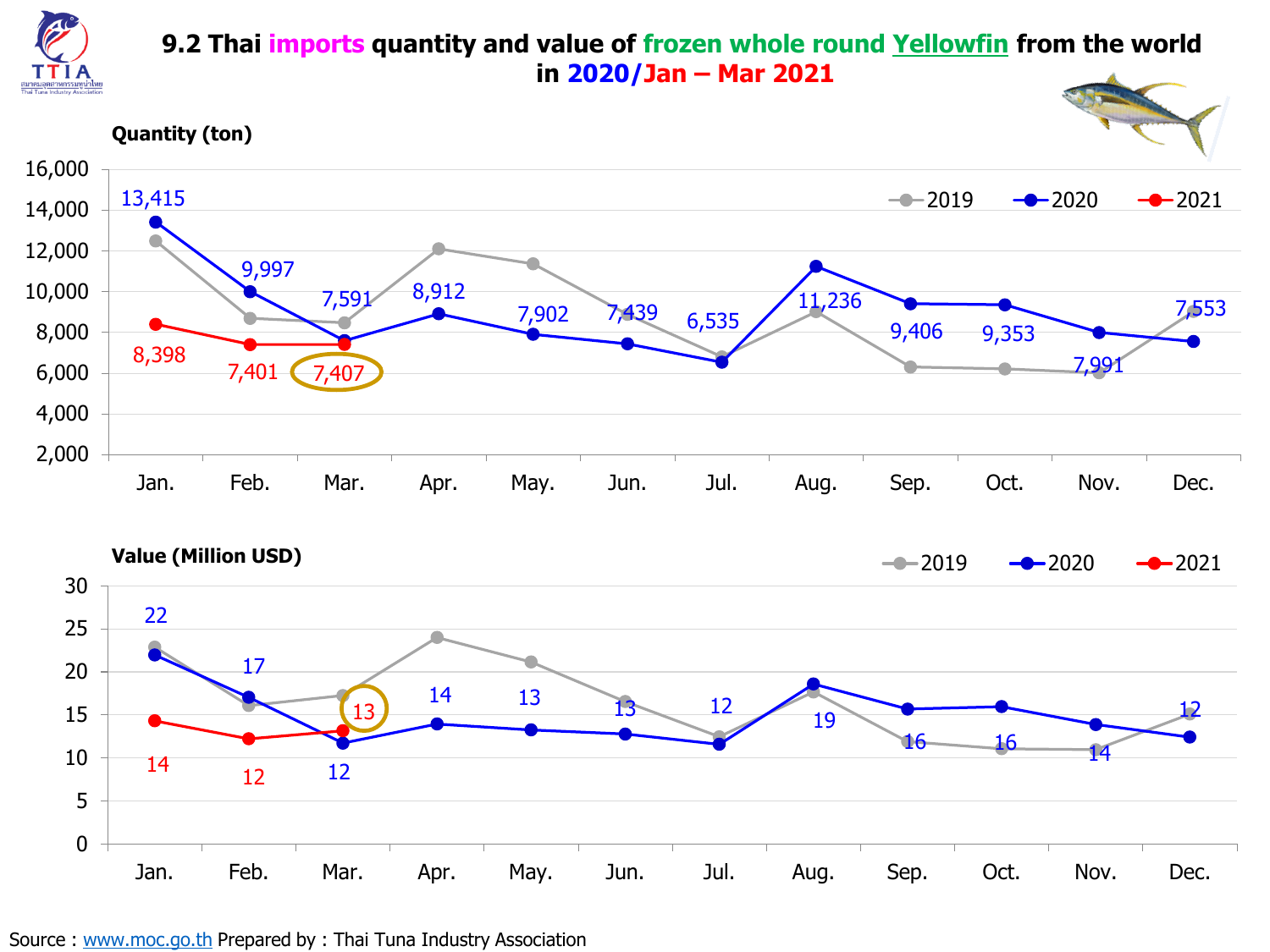

#### **9.2 Thai imports quantity and value of frozen whole round Yellowfin from the world in 2020/Jan – Mar 2021**

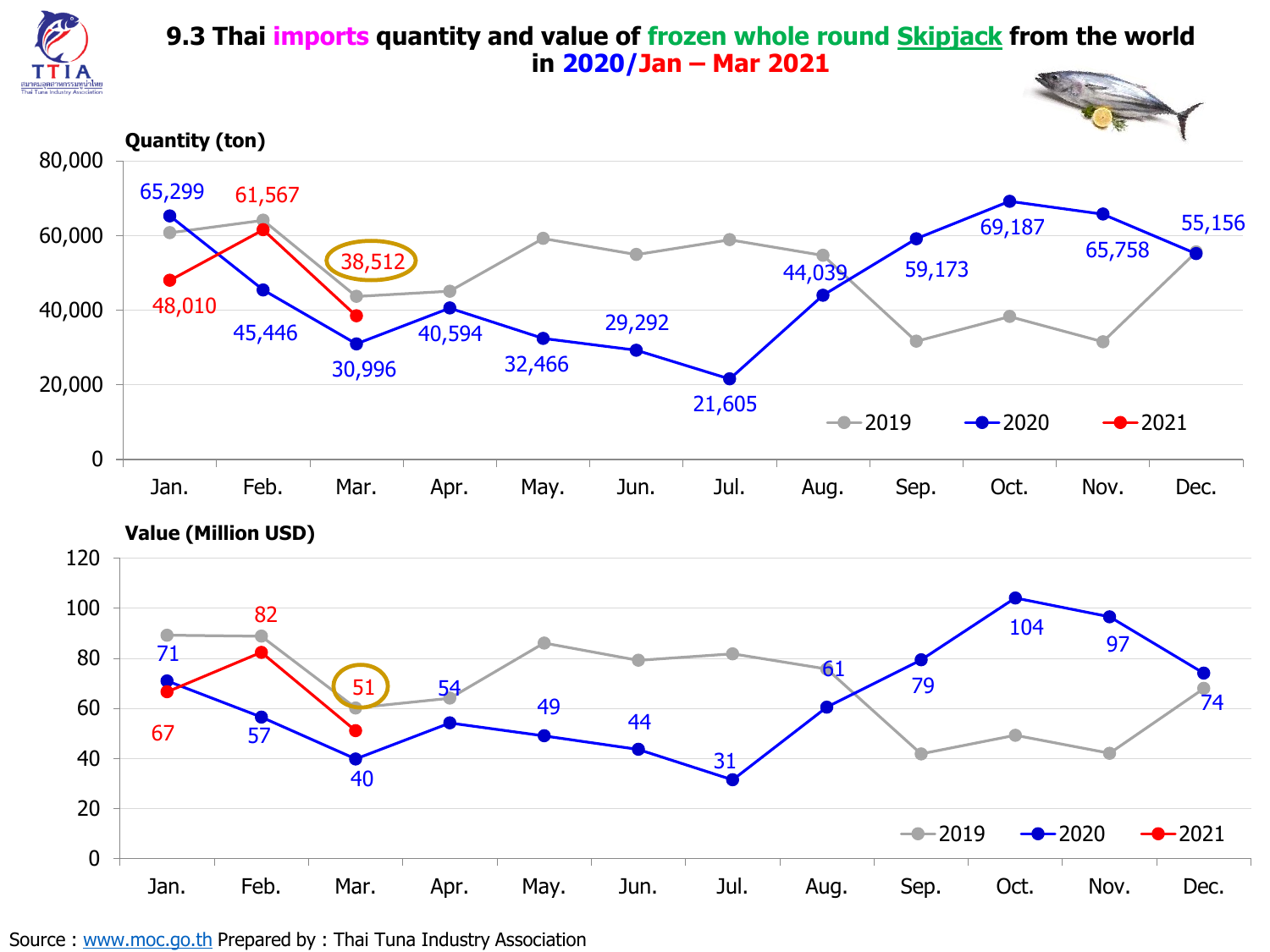

#### **9.3 Thai imports quantity and value of frozen whole round Skipjack from the world in 2020/Jan – Mar 2021**

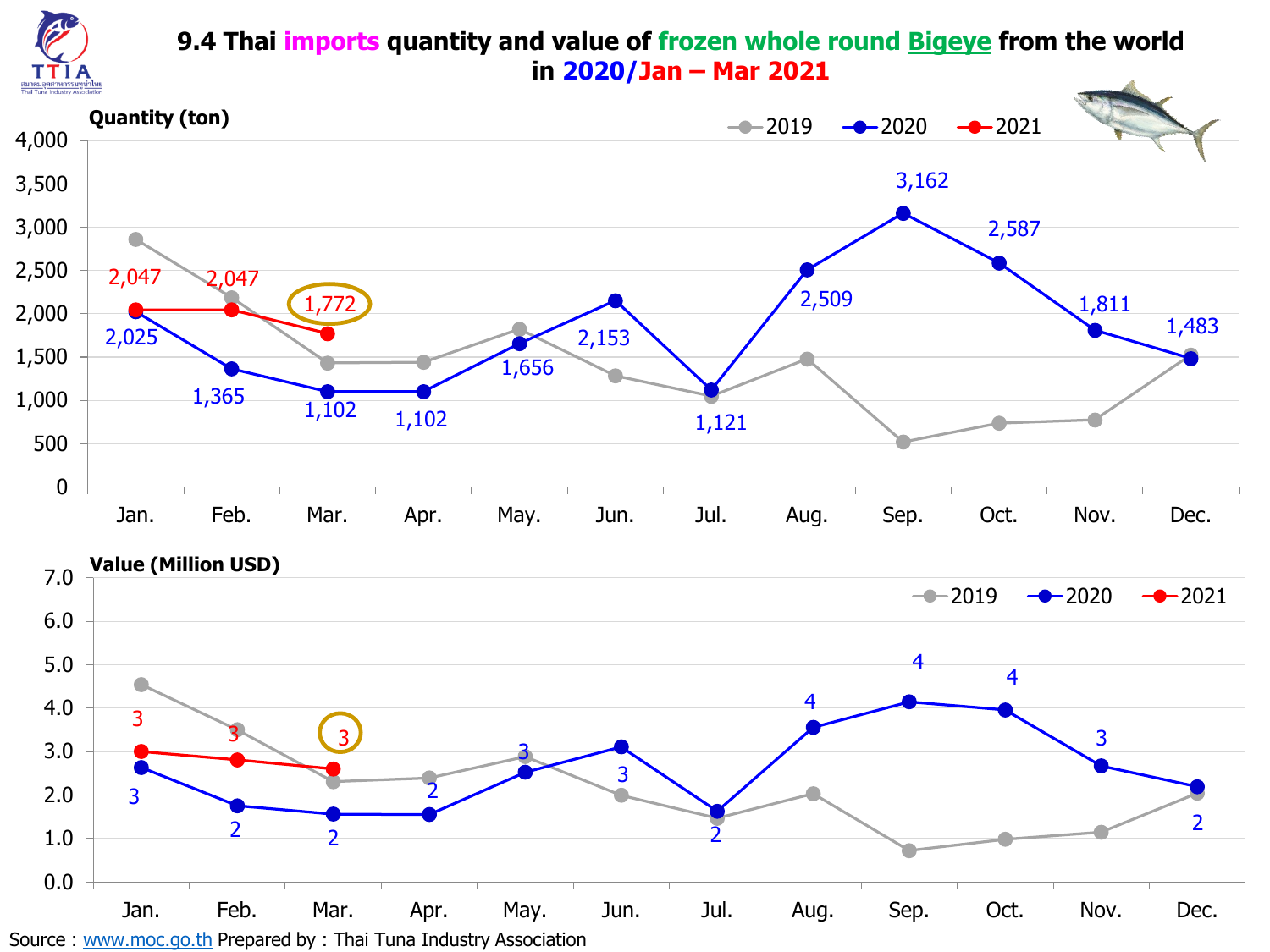

#### **9.4 Thai imports quantity and value of frozen whole round Bigeye from the world in 2020/Jan – Mar 2021**

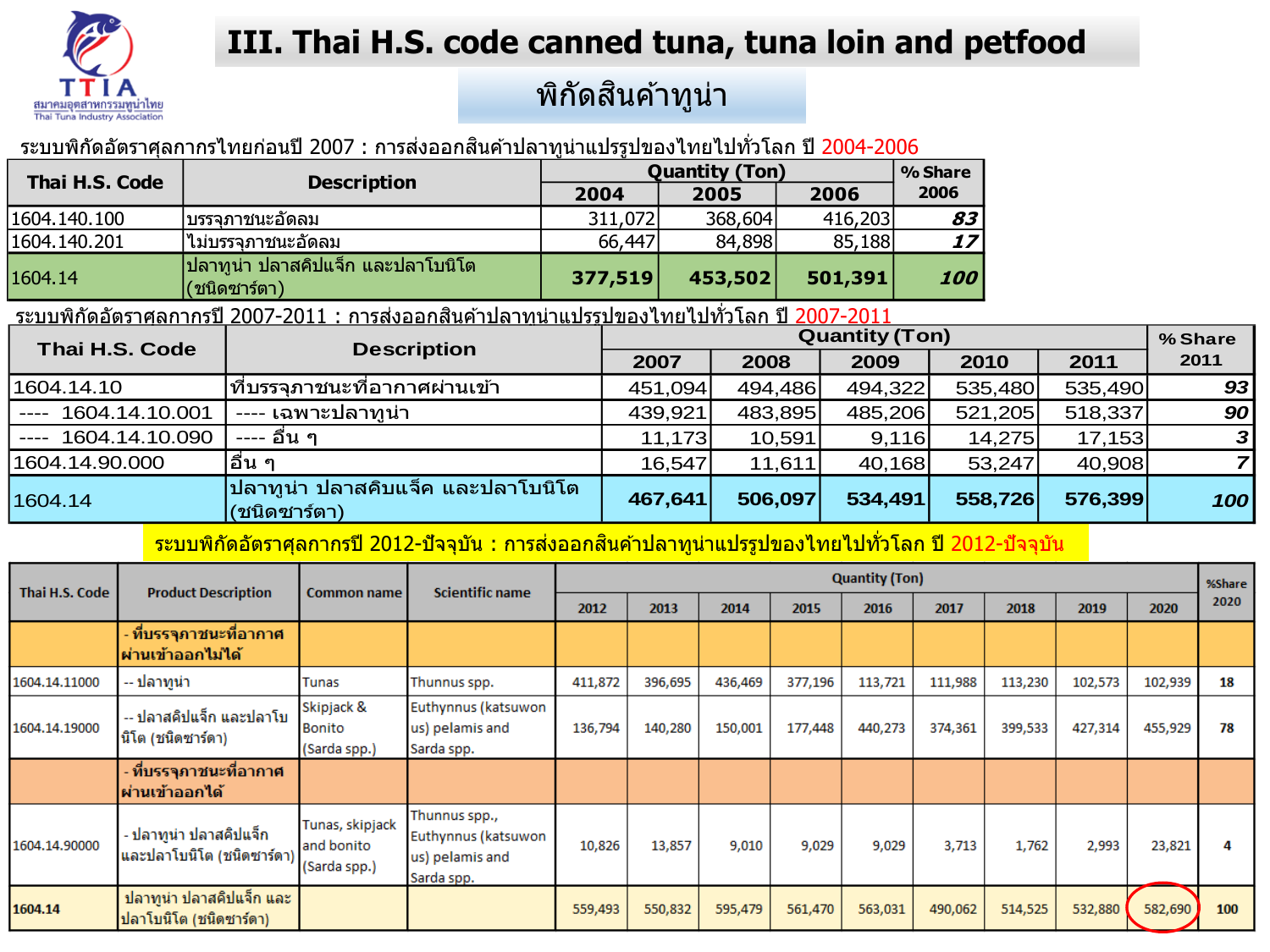

# **III. Thai H.S. code canned tuna, tuna loin and petfood**

# ็พิกัดสินค้าทูน่า

<u>ระบบพิกัดอัตราศุลกากรไทยก่อนปี 2007 : การส่งออกสินค้าปลาทูน่าแปรรูปของไทยไปทั่วโลก ปี 2004-2006 </u>

| Thai H.S. Code |                                                   |         | <b>Quantity (Ton)</b> |         | % Share |
|----------------|---------------------------------------------------|---------|-----------------------|---------|---------|
|                | <b>Description</b>                                | 2004    | 2005                  | 2006    | 2006    |
| 1604.140.100   | ∣บรรจภาชนะอัดลม                                   | 311,072 | 368,604               | 416,203 | 83      |
| 1604.140.201   | ไม่บรรจภาชนะอัดล <b>ม</b>                         | 66,447  | 84,898                | 85,188  | 17      |
| 1604.14        | ปลาทูน่า ปลาสคิปแจ็ก และปลาโบนิโต<br>(ชนิดซาร์ตา) | 377,519 | 453,502               | 501,391 | 100     |

้ระบบพิกัดอัตราศุลกากรปี 2007-2011 : การส่งออกสินค้าปลาทน่าแปรรูปของไทยไปทั่วโลก ปี 2007-2011

| Thai H.S. Code             | <b>Description</b>                                |         |         | <b>Quantity (Ton)</b> |         |         | % Share          |
|----------------------------|---------------------------------------------------|---------|---------|-----------------------|---------|---------|------------------|
|                            |                                                   | 2007    | 2008    | 2009                  | 2010    | 2011    | 2011             |
| 1604.14.10                 | ที่บรรจุภาชนะที่อากาศผ่านเข้า                     | 451,094 | 494,486 | 494,322               | 535,480 | 535,490 | 93               |
| 1604.14.10.001<br>$\cdots$ | ---- เฉพาะปลาทน่า                                 | 439,921 | 483,895 | 485,206               | 521,205 | 518,337 | 90 <sub>l</sub>  |
| 1604.14.10.090<br>$---$    | ---- อื่น ๆ                                       | 11,173  | 10,591  | 9,116                 | 14,275  | 17,153  | $\boldsymbol{3}$ |
| 1604.14.90.000             | ู่ อืน ๆ                                          | 16,547  | 11,611  | 40,168                | 53,247  | 40,908  |                  |
| 1604.14                    | ปลาทูน่า ปลาสคิบแจ็ค และปลาโบนิโต<br>(ชนิดซาร์ตา) | 467,641 | 506,097 | 534,491               | 558,726 | 576,399 | 100              |

ีระบบพิกัดอัตราศุลกากรปี 2012-ปัจจุบัน : การส่งออกสินค้าปลาทูน่าแปรรูปของไทยไปทั่วโลก ปี 2012-ปัจจุบัน

| Thai H.S. Code | <b>Product Description</b>                                                                  | <b>Common name</b>                            | Scientific name                                                       |         |         |         |         | <b>Quantity (Ton)</b> |         |         |         |         | %Share |
|----------------|---------------------------------------------------------------------------------------------|-----------------------------------------------|-----------------------------------------------------------------------|---------|---------|---------|---------|-----------------------|---------|---------|---------|---------|--------|
|                |                                                                                             |                                               |                                                                       | 2012    | 2013    | 2014    | 2015    | 2016                  | 2017    | 2018    | 2019    | 2020    | 2020   |
|                | - ที่บรรจุภาชนะที่อา <b>กา</b> ศ<br><b>้ผ่านเข้าออกไม่ได</b> ้                              |                                               |                                                                       |         |         |         |         |                       |         |         |         |         |        |
| 1604.14.11000  | -- ปลาทูน่า                                                                                 | Tunas                                         | Thunnus spp.                                                          | 411,872 | 396,695 | 436,469 | 377,196 | 113,721               | 111,988 | 113,230 | 102,573 | 102,939 | 18     |
| 1604.14.19000  | Skipjack &<br>-- ปลาสคิปแจ็ก และปลาโบ<br><b>Bonito</b><br>นิโต (ชนิดซาร์ดา)<br>(Sarda spp.) |                                               | Euthynnus (katsuwon<br>us) pelamis and<br>Sarda spp.                  | 136,794 | 140,280 | 150,001 | 177,448 | 440,273               | 374,361 | 399,533 | 427,314 | 455,929 | 78     |
|                | ่ ที่บรรจุภาชนะที่อากาศ<br>้ผ่านเข้าออก <b>ได</b> ้                                         |                                               |                                                                       |         |         |         |         |                       |         |         |         |         |        |
| 1604.14.90000  | - ปลาทูน่า ปลาสคิปแจ็ก<br>และปลาโบนิโต (ชนิดซาร์ดา)                                         | Tunas, skipjack<br>and bonito<br>(Sarda spp.) | Thunnus spp.,<br>Euthynnus (katsuwon<br>us) pelamis and<br>Sarda spp. | 10,826  | 13,857  | 9,010   | 9,029   | 9,029                 | 3,713   | 1,762   | 2,993   | 23,821  | Д      |
| 1604.14        | ปลาทูน่า ปลาสคิปแจ็ก และ<br>ปลาโบนิโต (ชนิดซาร์ดา)                                          |                                               |                                                                       | 559,493 | 550,832 | 595,479 | 561,470 | 563,031               | 490,062 | 514,525 | 532,880 | 582,690 | 100    |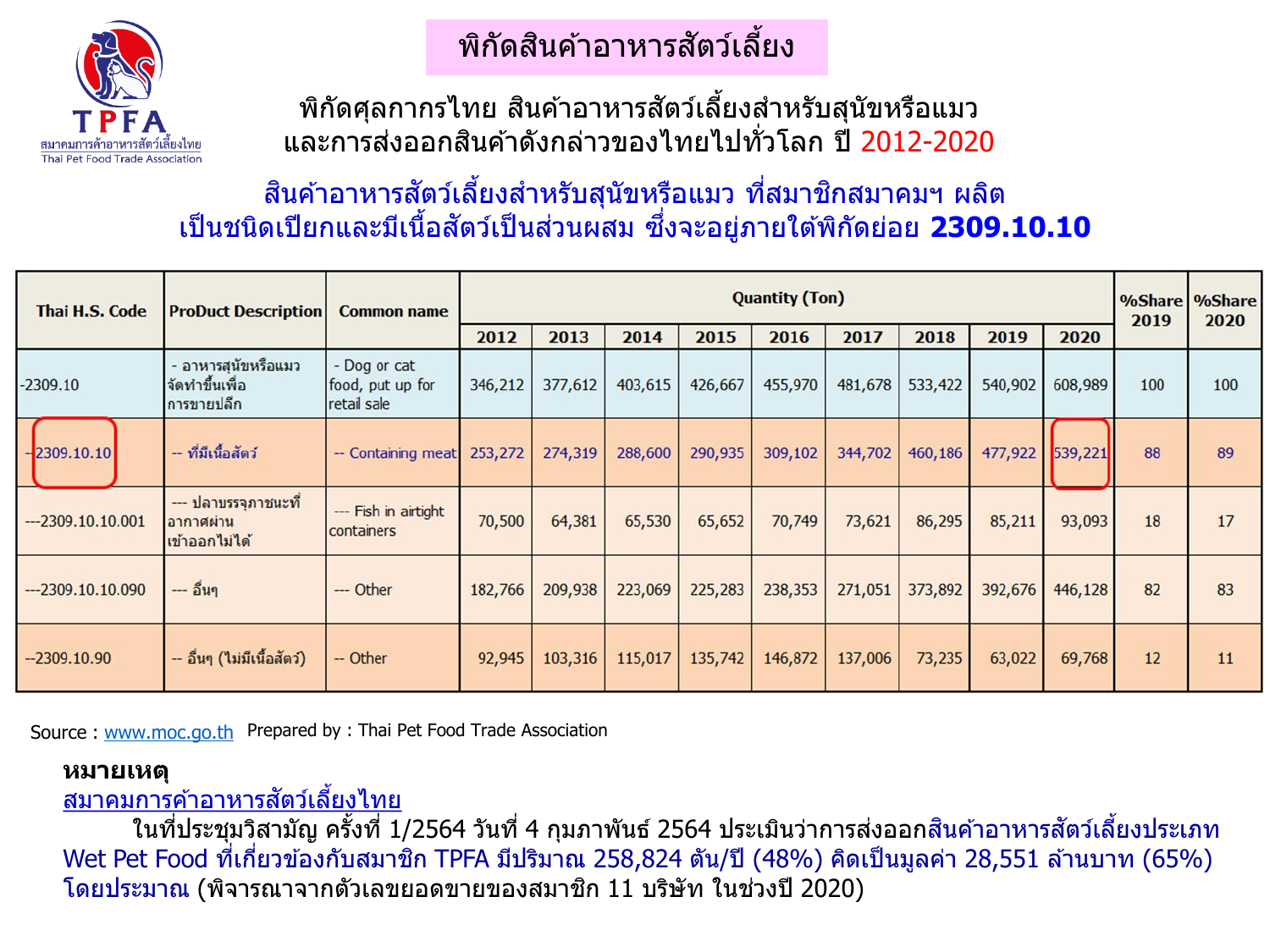

# ิพิกัดสินค้าอาหารสัตว์เลี้ยง

ีพิกัดศุลกากรไทย สินค้าอาหารสัตว์เลี้ยงสำหรับสุนัขหรือแมว ้ และการส่งออกสินค้าดังกล่าวของไทยไปทั่วโลก ปี 2012-2020

## ี สินค้าอาหารสัตว์เลี้ยงสำหรับสุนัขหรือแมว ที่สมาชิกสมาคมฯ ผลิต เป็นชนิดเปียกและมีเนื้อสัตว์เป็นส่วนผสม ซึ่งจะอยู่ภายใต้พิกัดย่อย **2309.10.10**

| <b>Thai H.S. Code</b> | <b>ProDuct Description</b>                            | <b>Common name</b>                              |         |         |         |         | <b>Quantity (Ton)</b> |         |         |         |         | $%$ Share<br>2019 | %Share<br>2020 |
|-----------------------|-------------------------------------------------------|-------------------------------------------------|---------|---------|---------|---------|-----------------------|---------|---------|---------|---------|-------------------|----------------|
|                       |                                                       |                                                 | 2012    | 2013    | 2014    | 2015    | 2016                  | 2017    | 2018    | 2019    | 2020    |                   |                |
| $-2309.10$            | - อาหารสุนัขหรือแมว<br>จัดท่าขึ้นเพื่อ<br>ีการขายปลีก | - Dog or cat<br>food, put up for<br>retail sale | 346,212 | 377,612 | 403,615 | 426,667 | 455,970               | 481,678 | 533,422 | 540,902 | 608,989 | 100               | 100            |
| $-2309.10.10$         | -- ที่มีเนื้อสัตว์                                    | -- Containing meat                              | 253,272 | 274,319 | 288,600 | 290,935 | 309,102               | 344,702 | 460,186 | 477,922 | 539,221 | 88                | 89             |
| $-2309.10.10.001$     | --- ปลาบรรจุภาชนะที่<br>ือากาศผ่าน<br>ีเข้าออกไม่ได้  | --- Fish in airtight<br>containers              | 70,500  | 64,381  | 65,530  | 65,652  | 70,749                | 73,621  | 86,295  | 85,211  | 93,093  | 18                | 17             |
| $-2309.10.10.090$     | --- อีนๆ                                              | --- Other                                       | 182,766 | 209,938 | 223,069 | 225,283 | 238,353               | 271,051 | 373,892 | 392,676 | 446,128 | 82                | 83             |
| $-2309.10.90$         | -- อื่นๆ (ไม่มีเนื้อสัตว์)                            | -- Other                                        | 92,945  | 103,316 | 115,017 | 135,742 | 146,872               | 137,006 | 73,235  | 63,022  | 69,768  | 12                | 11             |

Source : [www.moc.go.th](http://www.moc.go.th/) Prepared by : Thai Pet Food Trade Association

#### **หมายเหตุ**

#### ี่สมาคมการค้าอาหารสัตว์เลี้ยงไทย

่ ในที่ประชุมวิสามัญ ครั้งที่ 1/2564 วันที่ 4 กุมภาพันธ์ 2564 ประเมินว่าการส่งออกสินค้าอาหารสัตว์เลี้ยงประเภท Wet Pet Food ที่เกี่ยวข้องกับสมาชิก TPFA มีปริมาณ 258,824 ตัน/ปี (48%) คิดเป็นมูลค่า 28,551 ล้านบาท (65%) โดยประมาณ (พิจารณาจากตัวเลขยอดขายของสมาชิก 11 บริษัท ในช่วงปี 2020)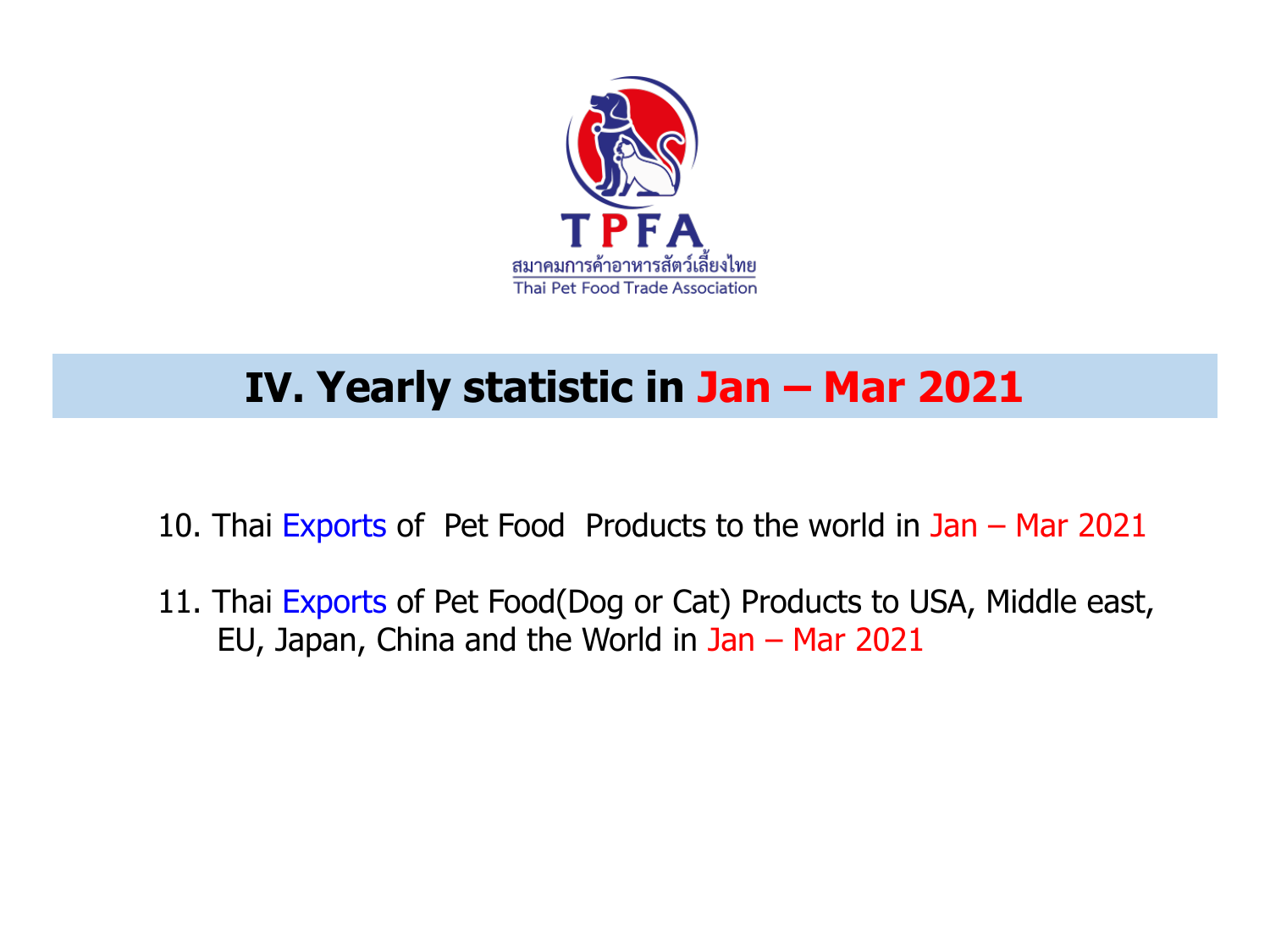

# **IV. Yearly statistic in Jan – Mar 2021**

- 10. Thai Exports of Pet Food Products to the world in Jan Mar 2021
- 11. Thai Exports of Pet Food(Dog or Cat) Products to USA, Middle east, EU, Japan, China and the World in Jan – Mar 2021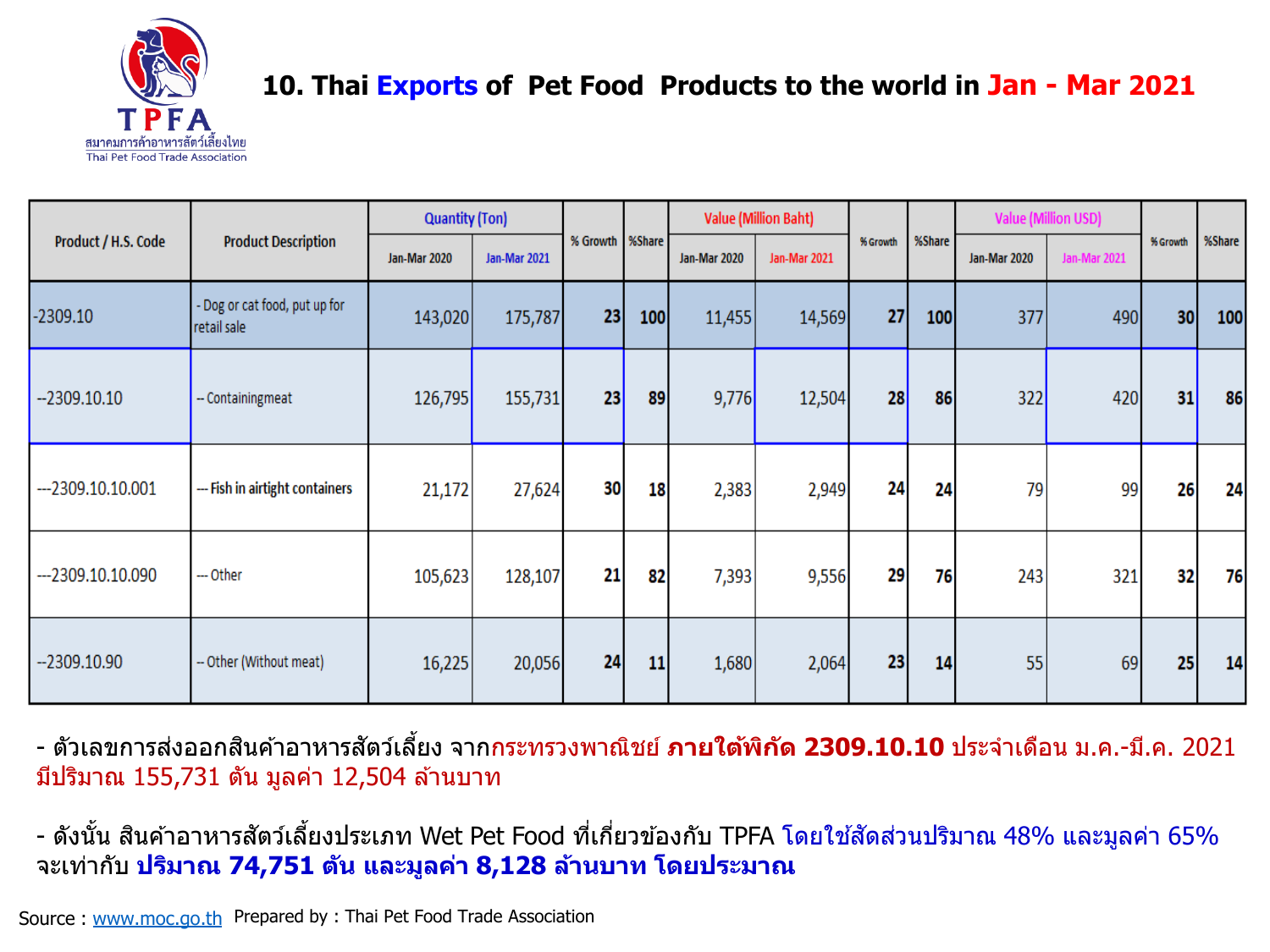

### **10. Thai Exports of Pet Food Products to the world in Jan - Mar 2021**

|                     |                                            | <b>Quantity (Ton)</b> |                     |                   |     |                     | <b>Value (Million Baht)</b> |          |        |                     | <b>Value (Million USD)</b> |          |        |
|---------------------|--------------------------------------------|-----------------------|---------------------|-------------------|-----|---------------------|-----------------------------|----------|--------|---------------------|----------------------------|----------|--------|
| Product / H.S. Code | <b>Product Description</b>                 | <b>Jan-Mar 2020</b>   | <b>Jan-Mar 2021</b> | % Growth   %Share |     | <b>Jan-Mar 2020</b> | <b>Jan-Mar 2021</b>         | % Growth | %Share | <b>Jan-Mar 2020</b> | <b>Jan-Mar 2021</b>        | % Growth | %Share |
| $-2309.10$          | Dog or cat food, put up for<br>retail sale | 143,020               | 175,787             | 23                | 100 | 11,455              | 14,569                      | 27       | 100    | 377                 | 490                        | 30       | 100    |
| $-2309.10.10$       | -- Containingmeat                          | 126,795               | 155,731             | 23                | 89  | 9,776               | 12,504                      | 28       | 86     | 322                 | 420                        | 31       | 86     |
| $-2309.10.10.001$   | --- Fish in airtight containers            | 21,172                | 27,624              | 30                | 18  | 2,383               | 2,949                       | 24       | 24     | 79                  | 99                         | 26       | 24     |
| $-2309.10.10.090$   | --- Other                                  | 105,623               | 128,107             | 21                | 82  | 7,393               | 9,556                       | 29       | 76     | 243                 | 321                        | 32       | 76     |
| $-2309.10.90$       | -- Other (Without meat)                    | 16,225                | 20,056              | 24                | 11  | 1,680               | 2,064                       | 23       | 14     | 55                  | 69                         | 25       | 14     |

- ตวัเลขการสง่ ออกสนิคา้อาหารสตั วเ์ลยี้ ง จากกระทรวงพาณิชย์ **ภายใต้พิกัด 2309.10.10** ประจ าเดือน ม.ค.-มี.ค. 2021 ้มีปริมาณ 155,731 ตัน มูลค่า 12,504 ล้านบาท

- ดังนั้น สินค้าอาหารสัตว์เลี้ยงประเภท Wet Pet Food ที่เกี่ยวข้องกับ TPFA โดยใช้สัดส่วนปริมาณ 48% และมูลค่า 65% จะเท่ากับ **ปริมาณ 74,751 ตัน และมูลค่า 8,128 ล้านบาท โดยประมาณ**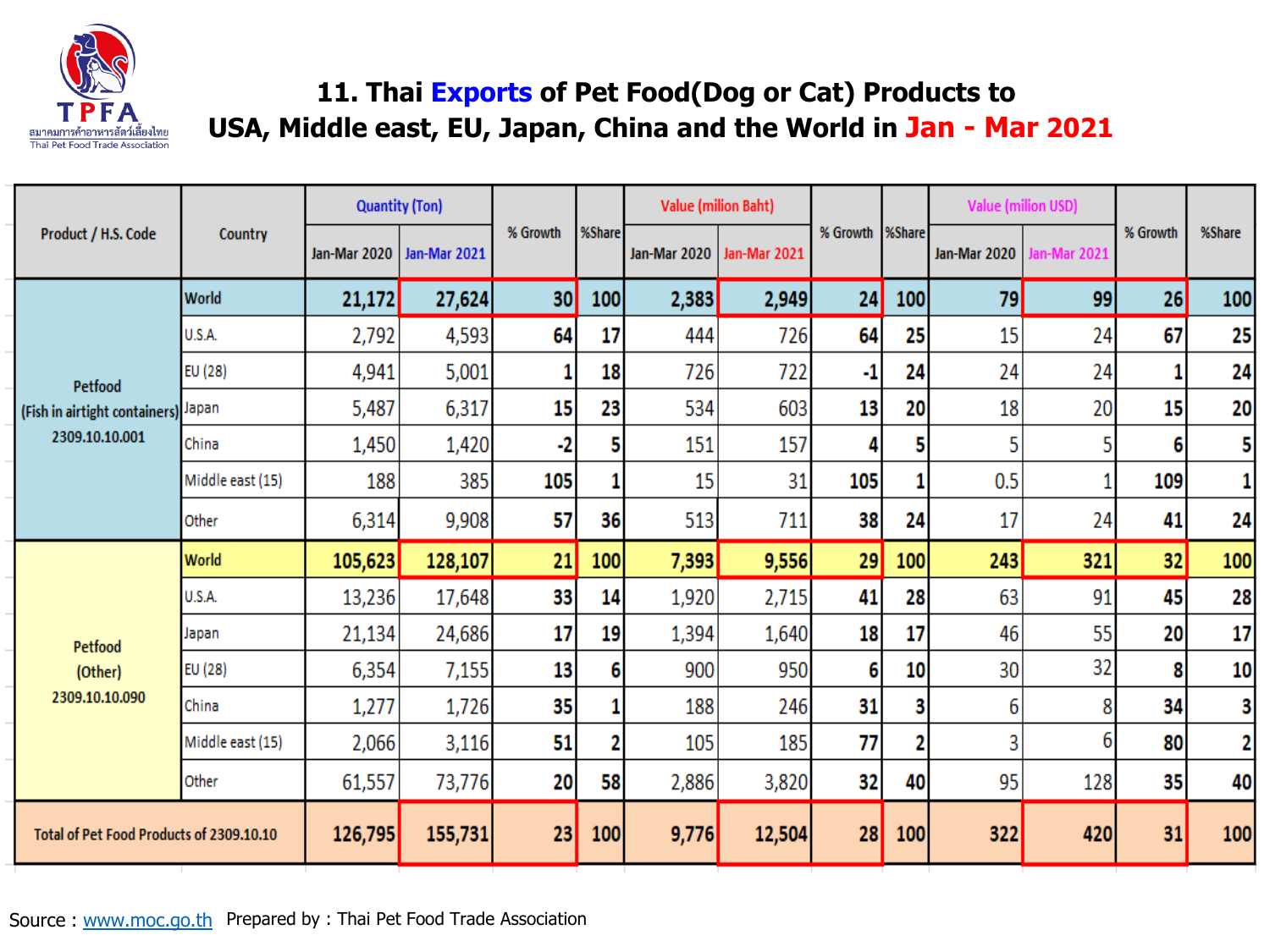

### **11. Thai Exports of Pet Food(Dog or Cat) Products to USA, Middle east, EU, Japan, China and the World in Jan - Mar 2021**

|                                          |                  | <b>Quantity (Ton)</b> |              |          |        | <b>Value (milion Baht)</b>  |        |          |        |              | <b>Value (milion USD)</b> |          |              |
|------------------------------------------|------------------|-----------------------|--------------|----------|--------|-----------------------------|--------|----------|--------|--------------|---------------------------|----------|--------------|
| Product / H.S. Code                      | Country          | Jan-Mar 2020          | Jan-Mar 2021 | % Growth | %Share | Jan-Mar 2020   Jan-Mar 2021 |        | % Growth | %Share | Jan-Mar 2020 | lan-Mar 2021              | % Growth | %Share       |
|                                          | World            | 21,172                | 27,624       | 30       | 100    | 2,383                       | 2,949  | 24       | 100    | 79           | 99                        | 26       | 100          |
|                                          | U.S.A.           | 2,792                 | 4,593        | 64       | 17     | 444                         | 726    | 64       | 25     | 15           | 24                        | 67       | 25           |
| <b>Petfood</b>                           | EU (28)          | 4,941                 | 5,001        | 1        | 18     | 726                         | 722    | -1       | 24     | 24           | 24                        | 1        | 24           |
| (Fish in airtight containers) Japan      |                  | 5,487                 | 6,317        | 15       | 23     | 534                         | 603    | 13       | 20     | 18           | 20                        | 15       | 20           |
| 2309.10.10.001                           | China            | 1,450                 | 1,420        | -2       |        | 151                         | 157    |          | 5      | 5            |                           | 6        | 5            |
|                                          | Middle east (15) | 188                   | 385          | 105      |        | 15                          | 31     | 105      | 1      | 0.5          |                           | 109      | $\mathbf{1}$ |
|                                          | Other            | 6,314                 | 9,908        | 57       | 36     | 513                         | 711    | 38       | 24     | 17           | 24                        | 41       | 24           |
|                                          | <b>World</b>     | 105,623               | 128,107      | 21       | 100    | 7,393                       | 9,556  | 29       | 100    | 243          | 321                       | 32       | 100          |
|                                          | U.S.A.           | 13,236                | 17,648       | 33       | 14     | 1,920                       | 2,715  | 41       | 28     | 63           | 91                        | 45       | 28           |
| <b>Petfood</b>                           | Japan            | 21,134                | 24,686       | 17       | 19     | 1,394                       | 1,640  | 18       | 17     | 46           | 55                        | 20       | 17           |
| (Other)                                  | EU (28)          | 6,354                 | 7,155        | 13       | 6      | 900                         | 950    | 6        | 10     | 30           | 32                        | 8        | 10           |
| 2309.10.10.090                           | China            | 1,277                 | 1,726        | 35       |        | 188                         | 246    | 31       | 3      | 6            | 8                         | 34       | 3            |
|                                          | Middle east (15) | 2,066                 | 3,116        | 51       | 2      | 105                         | 185    | 77       | 2      | 3            | 6                         | 80       | 2            |
|                                          | Other            | 61,557                | 73,776       | 20       | 58     | 2,886                       | 3,820  | 32       | 40     | 95           | 128                       | 35       | 40           |
| Total of Pet Food Products of 2309.10.10 |                  | 126,795               | 155,731      | 23       | 100    | 9,776                       | 12,504 | 28       | 100    | 322          | 420                       | 31       | 100          |